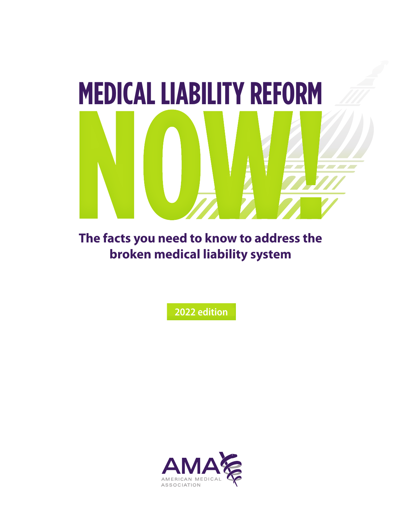

**The facts you need to know to address the broken medical liability system**

**2022 edition**

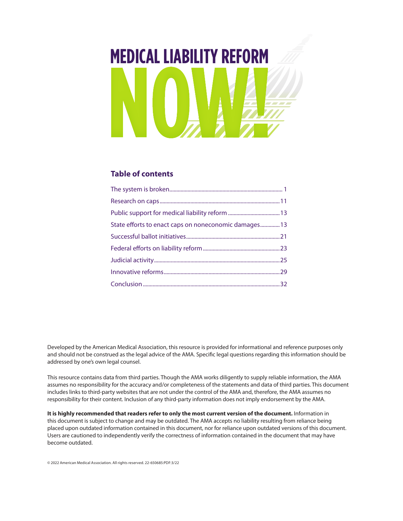# <span id="page-1-0"></span>**MEDICAL LIABILITY REFORM**

#### **Table of contents**

| State efforts to enact caps on noneconomic damages 13 |  |
|-------------------------------------------------------|--|
|                                                       |  |
|                                                       |  |
|                                                       |  |
|                                                       |  |
|                                                       |  |
|                                                       |  |

Developed by the American Medical Association, this resource is provided for informational and reference purposes only and should not be construed as the legal advice of the AMA. Specific legal questions regarding this information should be addressed by one's own legal counsel.

This resource contains data from third parties. Though the AMA works diligently to supply reliable information, the AMA assumes no responsibility for the accuracy and/or completeness of the statements and data of third parties. This document includes links to third-party websites that are not under the control of the AMA and, therefore, the AMA assumes no responsibility for their content. Inclusion of any third-party information does not imply endorsement by the AMA.

**It is highly recommended that readers refer to only the most current version of the document.** Information in this document is subject to change and may be outdated. The AMA accepts no liability resulting from reliance being placed upon outdated information contained in this document, nor for reliance upon outdated versions of this document. Users are cautioned to independently verify the correctness of information contained in the document that may have become outdated.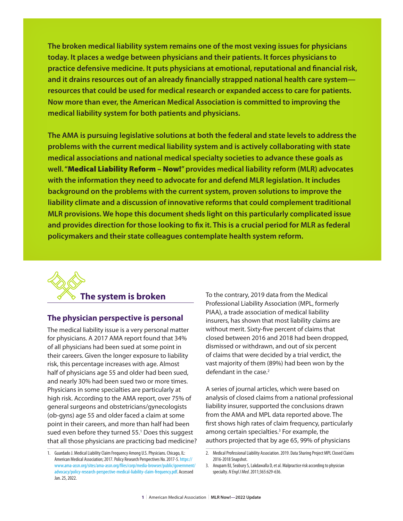<span id="page-2-0"></span>**The broken medical liability system remains one of the most vexing issues for physicians today. It places a wedge between physicians and their patients. It forces physicians to practice defensive medicine. It puts physicians at emotional, reputational and financial risk, and it drains resources out of an already financially strapped national health care system resources that could be used for medical research or expanded access to care for patients. Now more than ever, the American Medical Association is committed to improving the medical liability system for both patients and physicians.**

**The AMA is pursuing legislative solutions at both the federal and state levels to address the problems with the current medical liability system and is actively collaborating with state medical associations and national medical specialty societies to advance these goals as well. "**Medical Liability Reform – Now!**" provides medical liability reform (MLR) advocates with the information they need to advocate for and defend MLR legislation. It includes background on the problems with the current system, proven solutions to improve the liability climate and a discussion of innovative reforms that could complement traditional MLR provisions. We hope this document sheds light on this particularly complicated issue and provides direction for those looking to fix it. This is a crucial period for MLR as federal policymakers and their state colleagues contemplate health system reform.**

# **The system is broken**

#### **The physician perspective is personal**

The medical liability issue is a very personal matter for physicians. A 2017 AMA report found that 34% of all physicians had been sued at some point in their careers. Given the longer exposure to liability risk, this percentage increases with age. Almost half of physicians age 55 and older had been sued, and nearly 30% had been sued two or more times. Physicians in some specialties are particularly at high risk. According to the AMA report, over 75% of general surgeons and obstetricians/gynecologists (ob-gyns) age 55 and older faced a claim at some point in their careers, and more than half had been sued even before they turned 55.<sup>1</sup> Does this suggest that all those physicians are practicing bad medicine? To the contrary, 2019 data from the Medical Professional Liability Association (MPL, formerly PIAA), a trade association of medical liability insurers, has shown that most liability claims are without merit. Sixty-five percent of claims that closed between 2016 and 2018 had been dropped, dismissed or withdrawn, and out of six percent of claims that were decided by a trial verdict, the vast majority of them (89%) had been won by the defendant in the case.<sup>2</sup>

A series of journal articles, which were based on analysis of closed claims from a national professional liability insurer, supported the conclusions drawn from the AMA and MPL data reported above. The first shows high rates of claim frequency, particularly among certain specialties.<sup>3</sup> For example, the authors projected that by age 65, 99% of physicians

<sup>1.</sup> Guardado J. Medical Liability Claim Frequency Among U.S. Physicians. Chicago, IL: American Medical Association; 2017. Policy Research Perspectives No. 2017-5. [https://](https://www.ama-assn.org/sites/ama-assn.org/files/corp/media-browser/public/government/advocacy/policy-research-perspective-medical-liability-claim-frequency.pdf) [www.ama-assn.org/sites/ama-assn.org/files/corp/media-browser/public/government/](https://www.ama-assn.org/sites/ama-assn.org/files/corp/media-browser/public/government/advocacy/policy-research-perspective-medical-liability-claim-frequency.pdf) [advocacy/policy-research-perspective-medical-liability-claim-frequency.pdf](https://www.ama-assn.org/sites/ama-assn.org/files/corp/media-browser/public/government/advocacy/policy-research-perspective-medical-liability-claim-frequency.pdf). Accessed Jan. 25, 2022.

<sup>2.</sup> Medical Professional Liability Association. 2019. Data Sharing Project MPL Closed Claims 2016-2018 Snapshot.

<sup>3.</sup> Anupam BJ, Seabury S, Lakdawalla D, et al. Malpractice risk according to physician specialty. *N Engl J Med*. 2011;365:629-636.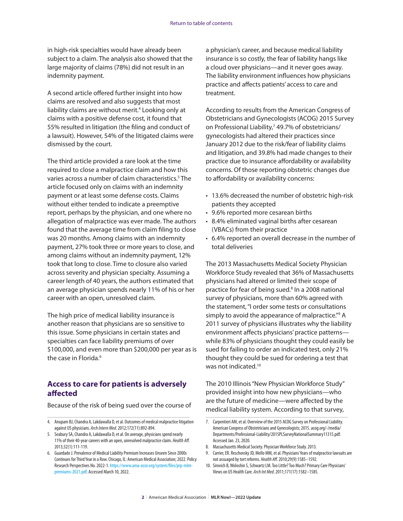in high-risk specialties would have already been subject to a claim. The analysis also showed that the large majority of claims (78%) did not result in an indemnity payment.

A second article offered further insight into how claims are resolved and also suggests that most liability claims are without merit.<sup>4</sup> Looking only at claims with a positive defense cost, it found that 55% resulted in litigation (the filing and conduct of a lawsuit). However, 54% of the litigated claims were dismissed by the court.

The third article provided a rare look at the time required to close a malpractice claim and how this varies across a number of claim characteristics.<sup>5</sup> The article focused only on claims with an indemnity payment or at least some defense costs. Claims without either tended to indicate a preemptive report, perhaps by the physician, and one where no allegation of malpractice was ever made. The authors found that the average time from claim filing to close was 20 months. Among claims with an indemnity payment, 27% took three or more years to close, and among claims without an indemnity payment, 12% took that long to close. Time to closure also varied across severity and physician specialty. Assuming a career length of 40 years, the authors estimated that an average physician spends nearly 11% of his or her career with an open, unresolved claim.

The high price of medical liability insurance is another reason that physicians are so sensitive to this issue. Some physicians in certain states and specialties can face liability premiums of over \$100,000, and even more than \$200,000 per year as is the case in Florida.<sup>6</sup>

#### **Access to care for patients is adversely affected**

Because of the risk of being sued over the course of

a physician's career, and because medical liability insurance is so costly, the fear of liability hangs like a cloud over physicians—and it never goes away. The liability environment influences how physicians practice and affects patients' access to care and treatment.

According to results from the American Congress of Obstetricians and Gynecologists (ACOG) 2015 Survey on Professional Liability,<sup>7</sup> 49.7% of obstetricians/ gynecologists had altered their practices since January 2012 due to the risk/fear of liability claims and litigation, and 39.8% had made changes to their practice due to insurance affordability or availability concerns. Of those reporting obstetric changes due to affordability or availability concerns:

- 13.6% decreased the number of obstetric high-risk patients they accepted
- 9.6% reported more cesarean births
- 8.4% eliminated vaginal births after cesarean (VBACs) from their practice
- 6.4% reported an overall decrease in the number of total deliveries

The 2013 Massachusetts Medical Society Physician Workforce Study revealed that 36% of Massachusetts physicians had altered or limited their scope of practice for fear of being sued.<sup>8</sup> In a 2008 national survey of physicians, more than 60% agreed with the statement, "I order some tests or consultations simply to avoid the appearance of malpractice."<sup>9</sup> A 2011 survey of physicians illustrates why the liability environment affects physicians' practice patterns while 83% of physicians thought they could easily be sued for failing to order an indicated test, only 21% thought they could be sued for ordering a test that was not indicated.<sup>10</sup>

The 2010 Illinois "New Physician Workforce Study" provided insight into how new physicians—who are the future of medicine—were affected by the medical liability system. According to that survey,

<sup>4.</sup> Anupam BJ, Chandra A, Lakdawalla D, et al. Outcomes of medical malpractice litigation against US physicians. *Arch Intern Med*. 2012;172(11):892-894.

<sup>5.</sup> Seabury SA, Chandra A, Lakdawalla D, et al. On average, physicians spend nearly 11% of their 40-year careers with an open, unresolved malpractice claim. *Health Aff*. 2013;32(1):111-119.

<sup>6.</sup> Guardado J. Prevalence of Medical Liability Premium Increases Unseen Since 2000s Continues for Third Year in a Row. Chicago, IL: American Medical Association; 2022. Policy Research Perspectives No. 2022-1. [https://www.ama-assn.org/system/files/prp-mlm](https://www.ama-assn.org/system/files/prp-mlm-premiums-2021.pdf)[premiums-2021.pdf.](https://www.ama-assn.org/system/files/prp-mlm-premiums-2021.pdf) Accessed March 10, 2022.

<sup>7.</sup> Carpentieri AM, et al. Overview of the 2015 ACOG Survey on Professional Liability. American Congress of Obstetricians and Gynecologists; 2015. acog.org/-/media/ Departments/Professional-Liability/2015PLSurveyNationalSummary11315.pdf. Accessed Jan. 23, 2020.

<sup>8.</sup> Massachusetts Medical Society. Physician Workforce Study. 2013.

<sup>9.</sup> Carrier, ER. Reschovsky JD, Mello MM, et al. Physicians' fears of malpractice lawsuits are not assuaged by tort reforms. *Health Aff*. 2010;29(9):1585–1592.

<sup>10.</sup> Sirovich B, Woloshin S, Schwartz LM. Too Little? Too Much? Primary Care Physicians' Views on US Health Care. *Arch Int Med*. 2011;171(17):1582–1585.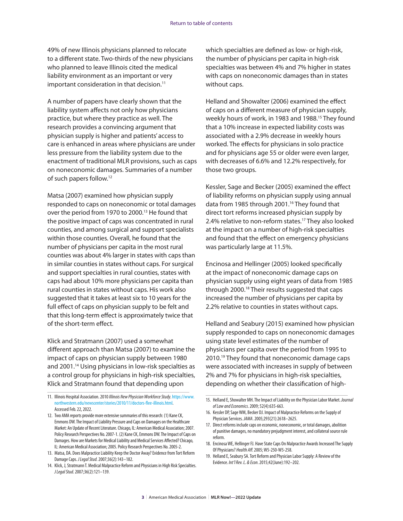49% of new Illinois physicians planned to relocate to a different state. Two-thirds of the new physicians who planned to leave Illinois cited the medical liability environment as an important or very important consideration in that decision.<sup>11</sup>

A number of papers have clearly shown that the liability system affects not only how physicians practice, but where they practice as well. The research provides a convincing argument that physician supply is higher and patients' access to care is enhanced in areas where physicians are under less pressure from the liability system due to the enactment of traditional MLR provisions, such as caps on noneconomic damages. Summaries of a number of such papers follow.12

Matsa (2007) examined how physician supply responded to caps on noneconomic or total damages over the period from 1970 to 2000.<sup>13</sup> He found that the positive impact of caps was concentrated in rural counties, and among surgical and support specialists within those counties. Overall, he found that the number of physicians per capita in the most rural counties was about 4% larger in states with caps than in similar counties in states without caps. For surgical and support specialties in rural counties, states with caps had about 10% more physicians per capita than rural counties in states without caps. His work also suggested that it takes at least six to 10 years for the full effect of caps on physician supply to be felt and that this long-term effect is approximately twice that of the short-term effect.

Klick and Stratmann (2007) used a somewhat different approach than Matsa (2007) to examine the impact of caps on physician supply between 1980 and 2001.14 Using physicians in low-risk specialties as a control group for physicians in high-risk specialties, Klick and Stratmann found that depending upon

which specialties are defined as low- or high-risk, the number of physicians per capita in high-risk specialties was between 4% and 7% higher in states with caps on noneconomic damages than in states without caps.

Helland and Showalter (2006) examined the effect of caps on a different measure of physician supply, weekly hours of work, in 1983 and 1988.<sup>15</sup> They found that a 10% increase in expected liability costs was associated with a 2.9% decrease in weekly hours worked. The effects for physicians in solo practice and for physicians age 55 or older were even larger, with decreases of 6.6% and 12.2% respectively, for those two groups.

Kessler, Sage and Becker (2005) examined the effect of liability reforms on physician supply using annual data from 1985 through 2001.<sup>16</sup> They found that direct tort reforms increased physician supply by 2.4% relative to non-reform states.<sup>17</sup> They also looked at the impact on a number of high-risk specialties and found that the effect on emergency physicians was particularly large at 11.5%.

Encinosa and Hellinger (2005) looked specifically at the impact of noneconomic damage caps on physician supply using eight years of data from 1985 through 2000.18 Their results suggested that caps increased the number of physicians per capita by 2.2% relative to counties in states without caps.

Helland and Seabury (2015) examined how physician supply responded to caps on noneconomic damages using state level estimates of the number of physicians per capita over the period from 1995 to 2010.<sup>19</sup> They found that noneconomic damage caps were associated with increases in supply of between 2% and 7% for physicians in high-risk specialties, depending on whether their classification of high-

<sup>11.</sup> Illinois Hospital Association. 2010 *Illinois New Physician Workforce Study*. [https://www.](https://www.northwestern.edu/newscenter/stories/2010/11/doctors-flee-illinois.html) [northwestern.edu/newscenter/stories/2010/11/doctors-flee-illinois.html](https://www.northwestern.edu/newscenter/stories/2010/11/doctors-flee-illinois.html). Accessed Feb. 22, 2022.

<sup>12.</sup> Two AMA reports provide more extensive summaries of this research: (1) Kane CK, Emmons DW. The Impact of Liability Pressure and Caps on Damages on the Healthcare Market: An Update of Recent Literature. Chicago, IL: American Medical Association; 2007. Policy Research Perspectives No. 2007-1. (2) Kane CK, Emmons DW. The Impact of Caps on Damages. How are Markets for Medical Liability and Medical Services Affected? Chicago, IL: American Medical Association; 2005. Policy Research Perspectives No. 2005-2.

<sup>13.</sup> Matsa, DA. Does Malpractice Liability Keep the Doctor Away? Evidence from Tort Reform Damage Caps. *J Legal Stud.* 2007;36(2):143–182.

<sup>14.</sup> Klick, J, Stratmann T. Medical Malpractice Reform and Physicians in High Risk Specialties. *J Legal Stud*. 2007;36(2):121–139.

<sup>15.</sup> Helland E, Showalter MH. The Impact of Liability on the Physician Labor Market. *Journal of Law and Economics*. 2009; 52(4):635-663.

<sup>16.</sup> Kessler DP, Sage WM, Becker DJ. Impact of Malpractice Reforms on the Supply of Physician Services*. JAMA*. 2005;293(21):2618–2625.

<sup>17.</sup> Direct reforms include caps on economic, noneconomic, or total damages, abolition of punitive damages, no mandatory prejudgment interest, and collateral source rule reform.

<sup>18.</sup> Encinosa WE, Hellinger FJ. Have State Caps On Malpractice Awards Increased The Supply Of Physicians? *Health Aff*. 2005; W5-250-W5-258.

<sup>19.</sup> Helland E, Seabury SA. Tort Reform and Physician Labor Supply: A Review of the Evidence. *Int'l Rev. L. & Econ*. 2015;42(June):192–202.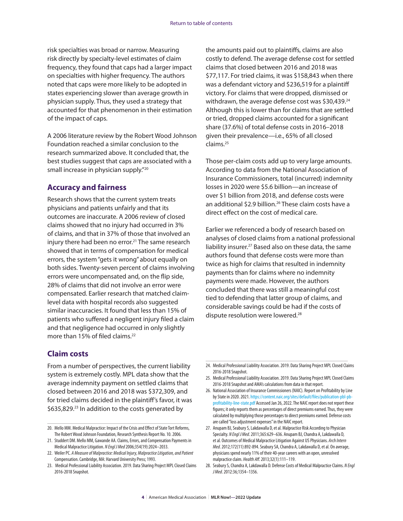risk specialties was broad or narrow. Measuring risk directly by specialty-level estimates of claim frequency, they found that caps had a larger impact on specialties with higher frequency. The authors noted that caps were more likely to be adopted in states experiencing slower than average growth in physician supply. Thus, they used a strategy that accounted for that phenomenon in their estimation of the impact of caps.

A 2006 literature review by the Robert Wood Johnson Foundation reached a similar conclusion to the research summarized above. It concluded that, the best studies suggest that caps are associated with a small increase in physician supply."20

#### **Accuracy and fairness**

Research shows that the current system treats physicians and patients unfairly and that its outcomes are inaccurate. A 2006 review of closed claims showed that no injury had occurred in 3% of claims, and that in 37% of those that involved an injury there had been no error.<sup>21</sup> The same research showed that in terms of compensation for medical errors, the system "gets it wrong" about equally on both sides. Twenty-seven percent of claims involving errors were uncompensated and, on the flip side, 28% of claims that did not involve an error were compensated. Earlier research that matched claimlevel data with hospital records also suggested similar inaccuracies. It found that less than 15% of patients who suffered a negligent injury filed a claim and that negligence had occurred in only slightly more than 15% of filed claims.<sup>22</sup>

the amounts paid out to plaintiffs, claims are also costly to defend. The average defense cost for settled claims that closed between 2016 and 2018 was \$77,117. For tried claims, it was \$158,843 when there was a defendant victory and \$236,519 for a plaintiff victory. For claims that were dropped, dismissed or withdrawn, the average defense cost was \$30,439.<sup>24</sup> Although this is lower than for claims that are settled or tried, dropped claims accounted for a significant share (37.6%) of total defense costs in 2016–2018 given their prevalence—i.e., 65% of all closed claims.25

Those per-claim costs add up to very large amounts. According to data from the National Association of Insurance Commissioners, total (incurred) indemnity losses in 2020 were \$5.6 billion—an increase of over \$1 billion from 2018, and defense costs were an additional \$2.9 billion.<sup>26</sup> These claim costs have a direct effect on the cost of medical care.

Earlier we referenced a body of research based on analyses of closed claims from a national professional liability insurer.<sup>27</sup> Based also on these data, the same authors found that defense costs were more than twice as high for claims that resulted in indemnity payments than for claims where no indemnity payments were made. However, the authors concluded that there was still a meaningful cost tied to defending that latter group of claims, and considerable savings could be had if the costs of dispute resolution were lowered.28

#### **Claim costs**

From a number of perspectives, the current liability system is extremely costly. MPL data show that the average indemnity payment on settled claims that closed between 2016 and 2018 was \$372,309, and for tried claims decided in the plaintiff's favor, it was \$635,829.<sup>23</sup> In addition to the costs generated by

<sup>20.</sup> Mello MM. Medical Malpractice: Impact of the Crisis and Effect of State Tort Reforms, The Robert Wood Johnson Foundation, Research Synthesis Report No. 10. 2006.

<sup>21.</sup> Studdert DM. Mello MM, Gawande AA. Claims, Errors, and Compensation Payments in Medical Malpractice Litigation. *N Engl J Med* 2006;354(19):2024–2033.

<sup>22.</sup> Weiler PC. *A Measure of Malpractice: Medical Injury, Malpractice Litigation, and Patient* Compensation. Cambridge, MA: Harvard University Press; 1993.

<sup>23.</sup> Medical Professional Liability Association. 2019. Data Sharing Project MPL Closed Claims 2016-2018 Snapshot.

<sup>24.</sup> Medical Professional Liability Association. 2019. Data Sharing Project MPL Closed Claims 2016-2018 Snapshot.

<sup>25.</sup> Medical Professional Liability Association. 2019. Data Sharing Project MPL Closed Claims 2016-2018 Snapshot and AMA's calculations from data in that report.

<sup>26.</sup> National Association of Insurance Commissioners (NAIC). Report on Profitability by Line by State in 2020. 2021. [https://content.naic.org/sites/default/files/publication-pbl-pb](https://content.naic.org/sites/default/files/publication-pbl-pb-profitability-line-state.pdf)[profitability-line-state.pdf](https://content.naic.org/sites/default/files/publication-pbl-pb-profitability-line-state.pdf) Accessed Jan 26, 2022. The NAIC report does not report these figures; it only reports them as percentages of direct premiums earned. Thus, they were calculated by multiplying those percentages to direct premiums earned. Defense costs are called "loss adjustment expenses" in the NAIC report.

<sup>27.</sup> Anupam BJ, Seabury S, Lakdawalla D, et al. Malpractice Risk According to Physician Specialty. *N Engl J Med*. 2011;365:629–636. Anupam BJ, Chandra A, Lakdawalla D, et al. Outcomes of Medical Malpractice Litigation Against US Physicians. *Arch Intern Med*. 2012;172(11):892-894. Seabury SA, Chandra A, Lakdawalla D, et al. On average, physicians spend nearly 11% of their 40-year careers with an open, unresolved malpractice claim. *Health Aff*. 2013;32(1):111–119.

<sup>28.</sup> Seabury S, Chandra A, Lakdawalla D. Defense Costs of Medical Malpractice Claims. *N Engl J Med*. 2012:36;1354–1356.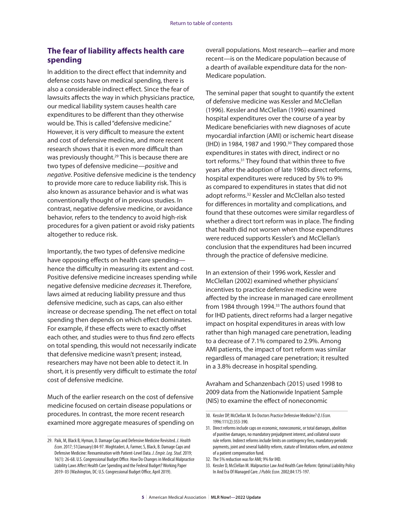#### **The fear of liability affects health care spending**

In addition to the direct effect that indemnity and defense costs have on medical spending, there is also a considerable indirect effect. Since the fear of lawsuits affects the way in which physicians practice, our medical liability system causes health care expenditures to be different than they otherwise would be. This is called "defensive medicine." However, it is very difficult to measure the extent and cost of defensive medicine, and more recent research shows that it is even more difficult than was previously thought.<sup>29</sup> This is because there are two types of defensive medicine—*positive* and *negative*. Positive defensive medicine is the tendency to provide more care to reduce liability risk. This is also known as assurance behavior and is what was conventionally thought of in previous studies. In contrast, negative defensive medicine, or avoidance behavior, refers to the tendency to avoid high-risk procedures for a given patient or avoid risky patients altogether to reduce risk.

Importantly, the two types of defensive medicine have opposing effects on health care spending hence the difficulty in measuring its extent and cost. Positive defensive medicine increases spending while negative defensive medicine *decreases* it. Therefore, laws aimed at reducing liability pressure and thus defensive medicine, such as caps, can also either increase or decrease spending. The net effect on total spending then depends on which effect dominates. For example, if these effects were to exactly offset each other, and studies were to thus find zero effects on total spending, this would not necessarily indicate that defensive medicine wasn't present; instead, researchers may have not been able to detect it. In short, it is presently very difficult to estimate the *total* cost of defensive medicine.

Much of the earlier research on the cost of defensive medicine focused on certain disease populations or procedures. In contrast, the more recent research examined more aggregate measures of spending on overall populations. Most research—earlier and more recent—is on the Medicare population because of a dearth of available expenditure data for the non-Medicare population.

The seminal paper that sought to quantify the extent of defensive medicine was Kessler and McClellan (1996). Kessler and McClellan (1996) examined hospital expenditures over the course of a year by Medicare beneficiaries with new diagnoses of acute myocardial infarction (AMI) or ischemic heart disease  $(HD)$  in 1984, 1987 and 1990.<sup>30</sup> They compared those expenditures in states with direct, indirect or no tort reforms.31 They found that within three to five years after the adoption of late 1980s direct reforms, hospital expenditures were reduced by 5% to 9% as compared to expenditures in states that did not adopt reforms.<sup>32</sup> Kessler and McClellan also tested for differences in mortality and complications, and found that these outcomes were similar regardless of whether a direct tort reform was in place. The finding that health did not worsen when those expenditures were reduced supports Kessler's and McClellan's conclusion that the expenditures had been incurred through the practice of defensive medicine.

In an extension of their 1996 work, Kessler and McClellan (2002) examined whether physicians' incentives to practice defensive medicine were affected by the increase in managed care enrollment from 1984 through 1994.<sup>33</sup> The authors found that for IHD patients, direct reforms had a larger negative impact on hospital expenditures in areas with low rather than high managed care penetration, leading to a decrease of 7.1% compared to 2.9%. Among AMI patients, the impact of tort reform was similar regardless of managed care penetration; it resulted in a 3.8% decrease in hospital spending.

Avraham and Schanzenbach (2015) used 1998 to 2009 data from the Nationwide Inpatient Sample (NIS) to examine the effect of noneconomic

<sup>29.</sup> Paik, M, Black B, Hyman, D. Damage Caps and Defensive Medicine Revisited. *J. Health Econ*. 2017; 51(January):84-97. Moghtaderi, A, Farmer, S, Black, B. Damage Caps and Defensive Medicine: Reexamination with Patient-Level Data. *J. Empir. Leg. Stud*. 2019; 16(1): 26-68. U.S. Congressional Budget Office. How Do Changes in Medical Malpractice Liability Laws Affect Health Care Spending and the Federal Budget? Working Paper 2019- 03 (Washington, DC: U.S. Congressional Budget Office, April 2019).

<sup>30.</sup> Kessler DP, McClellan M. Do Doctors Practice Defensive Medicine? *Q J Econ*. 1996:111(2):353-390.

<sup>31.</sup> Direct reforms include caps on economic, noneconomic, or total damages, abolition of punitive damages, no mandatory prejudgment interest, and collateral source rule reform. Indirect reforms include limits on contingency fees, mandatory periodic payments, joint and several liability reform, statute of limitations reform, and existence of a patient compensation fund.

<sup>32.</sup> The 5% reduction was for AMI; 9% for IHD.

<sup>33.</sup> Kessler D, McClellan M. Malpractice Law And Health Care Reform: Optimal Liability Policy In And Era Of Managed Care. *J Public Econ*. 2002;84:175-197.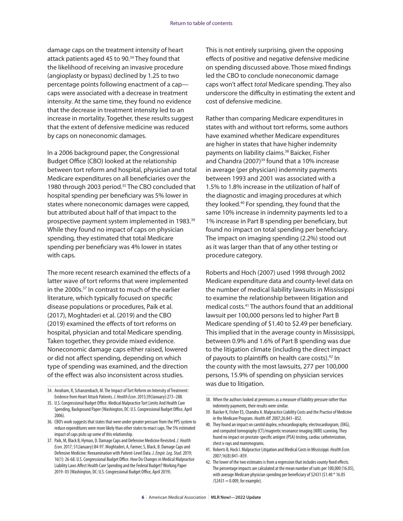damage caps on the treatment intensity of heart attack patients aged 45 to 90.34 They found that the likelihood of receiving an invasive procedure (angioplasty or bypass) declined by 1.25 to two percentage points following enactment of a cap caps were associated with a decrease in treatment intensity. At the same time, they found no evidence that the decrease in treatment intensity led to an increase in mortality. Together, these results suggest that the extent of defensive medicine was reduced by caps on noneconomic damages.

In a 2006 background paper, the Congressional Budget Office (CBO) looked at the relationship between tort reform and hospital, physician and total Medicare expenditures on all beneficiaries over the 1980 through 2003 period.<sup>35</sup> The CBO concluded that hospital spending per beneficiary was 5% lower in states where noneconomic damages were capped, but attributed about half of that impact to the prospective payment system implemented in 1983.<sup>36</sup> While they found no impact of caps on physician spending, they estimated that total Medicare spending per beneficiary was 4% lower in states with caps.

The more recent research examined the effects of a latter wave of tort reforms that were implemented in the 2000s.<sup>37</sup> In contrast to much of the earlier literature, which typically focused on specific disease populations or procedures, Paik et al. (2017), Moghtaderi et al. (2019) and the CBO (2019) examined the effects of tort reforms on hospital, physician and total Medicare spending. Taken together, they provide mixed evidence. Noneconomic damage caps either raised, lowered or did not affect spending, depending on which type of spending was examined, and the direction of the effect was also inconsistent across studies.

This is not entirely surprising, given the opposing effects of positive and negative defensive medicine on spending discussed above. Those mixed findings led the CBO to conclude noneconomic damage caps won't affect *total* Medicare spending. They also underscore the difficulty in estimating the extent and cost of defensive medicine.

Rather than comparing Medicare expenditures in states with and without tort reforms, some authors have examined whether Medicare expenditures are higher in states that have higher indemnity payments on liability claims.<sup>38</sup> Baicker, Fisher and Chandra (2007)<sup>39</sup> found that a 10% increase in average (per physician) indemnity payments between 1993 and 2001 was associated with a 1.5% to 1.8% increase in the utilization of half of the diagnostic and imaging procedures at which they looked.40 For spending, they found that the same 10% increase in indemnity payments led to a 1% increase in Part B spending per beneficiary, but found no impact on total spending per beneficiary. The impact on imaging spending (2.2%) stood out as it was larger than that of any other testing or procedure category.

Roberts and Hoch (2007) used 1998 through 2002 Medicare expenditure data and county-level data on the number of medical liability lawsuits in Mississippi to examine the relationship between litigation and medical costs.41 The authors found that an additional lawsuit per 100,000 persons led to higher Part B Medicare spending of \$1.40 to \$2.49 per beneficiary. This implied that in the average county in Mississippi, between 0.9% and 1.6% of Part B spending was due to the litigation climate (including the direct impact of payouts to plaintiffs on health care costs).<sup>42</sup> In the county with the most lawsuits, 277 per 100,000 persons, 15.9% of spending on physician services was due to litigation.

<sup>34.</sup> Avraham, R, Schanzenbach, M. The Impact of Tort Reform on Intensity of Treatment: Evidence from Heart Attack Patients. *J. Health Econ*. 2015;39(January):273–288.

<sup>35.</sup> U.S. Congressional Budget Office. Medical Malpractice Tort Limits And Health Care Spending, Background Paper (Washington, DC: U.S. Congressional Budget Office, April 2006).

<sup>36.</sup> CBO's work suggests that states that were under greater pressure from the PPS system to reduce expenditures were more likely than other states to enact caps. The 5% estimated impact of caps picks up some of this relationship.

<sup>37.</sup> Paik, M, Black B, Hyman, D. Damage Caps and Defensive Medicine Revisited. *J. Health Econ*. 2017; 51(January):84-97. Moghtaderi, A, Farmer, S, Black, B. Damage Caps and Defensive Medicine: Reexamination with Patient-Level Data. *J. Empir. Leg. Stud*. 2019; 16(1): 26-68. U.S. Congressional Budget Office. How Do Changes in Medical Malpractice Liability Laws Affect Health Care Spending and the Federal Budget? Working Paper 2019- 03 (Washington, DC: U.S. Congressional Budget Office, April 2019).

<sup>38.</sup> When the authors looked at premiums as a measure of liability pressure rather than indemnity payments, their results were similar.

<sup>39.</sup> Baicker K, Fisher ES, Chandra A. Malpractice Liability Costs and the Practice of Medicine in the Medicare Program. *Health Aff*. 2007;26:841–852.

<sup>40.</sup> They found an impact on carotid duplex, echocardiography, electrocardiogram, (EKG), and computed tomography (CT)/magnetic resonance imaging (MRI) scanning. They found no impact on prostate-specific antigen (PSA) testing, cardiac catheterization, chest x-rays and mammograms.

<sup>41.</sup> Roberts B, Hock I. Malpractice Litigation and Medical Costs in Mississippi. *Health Econ*. 2007;16(8):841–859.

<sup>42.</sup> The lower of the two estimates is from a regression that includes county fixed effects. The percentage impacts are calculated at the mean number of suits per 100,000 (16.05), with average Medicare physician spending per beneficiary of \$2431 (\$1.40 \* 16.05  $/$ \$2431 = 0.009, for example).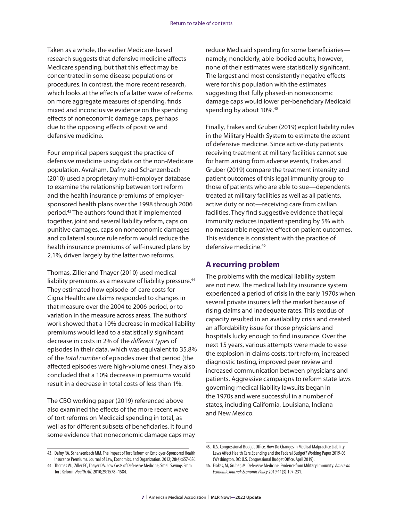Taken as a whole, the earlier Medicare-based research suggests that defensive medicine affects Medicare spending, but that this effect may be concentrated in some disease populations or procedures. In contrast, the more recent research, which looks at the effects of a latter wave of reforms on more aggregate measures of spending, finds mixed and inconclusive evidence on the spending effects of noneconomic damage caps, perhaps due to the opposing effects of positive and defensive medicine.

Four empirical papers suggest the practice of defensive medicine using data on the non-Medicare population. Avraham, Dafny and Schanzenbach (2010) used a proprietary multi-employer database to examine the relationship between tort reform and the health insurance premiums of employersponsored health plans over the 1998 through 2006 period.43 The authors found that if implemented together, joint and several liability reform, caps on punitive damages, caps on noneconomic damages and collateral source rule reform would reduce the health insurance premiums of self-insured plans by 2.1%, driven largely by the latter two reforms.

Thomas, Ziller and Thayer (2010) used medical liability premiums as a measure of liability pressure.<sup>44</sup> They estimated how episode-of-care costs for Cigna Healthcare claims responded to changes in that measure over the 2004 to 2006 period, or to variation in the measure across areas. The authors' work showed that a 10% decrease in medical liability premiums would lead to a statistically significant decrease in costs in 2% of the *different types* of episodes in their data, which was equivalent to 35.8% of the *total number* of episodes over that period (the affected episodes were high-volume ones). They also concluded that a 10% decrease in premiums would result in a decrease in total costs of less than 1%.

The CBO working paper (2019) referenced above also examined the effects of the more recent wave of tort reforms on Medicaid spending in total, as well as for different subsets of beneficiaries. It found some evidence that noneconomic damage caps may reduce Medicaid spending for some beneficiaries namely, nonelderly, able-bodied adults; however, none of their estimates were statistically significant. The largest and most consistently negative effects were for this population with the estimates suggesting that fully phased-in noneconomic damage caps would lower per-beneficiary Medicaid spending by about 10%.<sup>45</sup>

Finally, Frakes and Gruber (2019) exploit liability rules in the Military Health System to estimate the extent of defensive medicine. Since active-duty patients receiving treatment at military facilities cannot sue for harm arising from adverse events, Frakes and Gruber (2019) compare the treatment intensity and patient outcomes of this legal immunity group to those of patients who are able to sue—dependents treated at military facilities as well as all patients, active duty or not—receiving care from civilian facilities. They find suggestive evidence that legal immunity reduces inpatient spending by 5% with no measurable negative effect on patient outcomes. This evidence is consistent with the practice of defensive medicine.46

#### **A recurring problem**

The problems with the medical liability system are not new. The medical liability insurance system experienced a period of crisis in the early 1970s when several private insurers left the market because of rising claims and inadequate rates. This exodus of capacity resulted in an availability crisis and created an affordability issue for those physicians and hospitals lucky enough to find insurance. Over the next 15 years, various attempts were made to ease the explosion in claims costs: tort reform, increased diagnostic testing, improved peer review and increased communication between physicians and patients. Aggressive campaigns to reform state laws governing medical liability lawsuits began in the 1970s and were successful in a number of states, including California, Louisiana, Indiana and New Mexico.

<sup>43.</sup> Dafny RA, Schanzenbach MM. The Impact of Tort Reform on Employer-Sponsored Health Insurance Premiums. Journal of Law, Economics, and Organization. 2012; 28(4):657-686.

<sup>44.</sup> Thomas WJ, Ziller EC, Thayer DA. Low Costs of Defensive Medicine, Small Savings From Tort Reform. *Health Aff*. 2010;29:1578–1584.

<sup>45.</sup> U.S. Congressional Budget Office. How Do Changes in Medical Malpractice Liability Laws Affect Health Care Spending and the Federal Budget? Working Paper 2019-03 (Washington, DC: U.S. Congressional Budget Office, April 2019).

<sup>46.</sup> Frakes, M, Gruber, M. Defensive Medicine: Evidence from Military Immunity. *American Economic Journal: Economic Policy*.2019;11(3):197-231.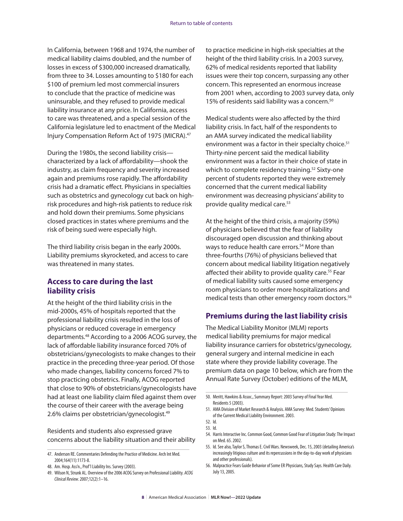In California, between 1968 and 1974, the number of medical liability claims doubled, and the number of losses in excess of \$300,000 increased dramatically, from three to 34. Losses amounting to \$180 for each \$100 of premium led most commercial insurers to conclude that the practice of medicine was uninsurable, and they refused to provide medical liability insurance at any price. In California, access to care was threatened, and a special session of the California legislature led to enactment of the Medical Injury Compensation Reform Act of 1975 (MICRA).47

During the 1980s, the second liability crisis characterized by a lack of affordability—shook the industry, as claim frequency and severity increased again and premiums rose rapidly. The affordability crisis had a dramatic effect. Physicians in specialties such as obstetrics and gynecology cut back on highrisk procedures and high-risk patients to reduce risk and hold down their premiums. Some physicians closed practices in states where premiums and the risk of being sued were especially high.

The third liability crisis began in the early 2000s. Liability premiums skyrocketed, and access to care was threatened in many states.

#### **Access to care during the last liability crisis**

At the height of the third liability crisis in the mid-2000s, 45% of hospitals reported that the professional liability crisis resulted in the loss of physicians or reduced coverage in emergency departments.48 According to a 2006 ACOG survey, the lack of affordable liability insurance forced 70% of obstetricians/gynecologists to make changes to their practice in the preceding three-year period. Of those who made changes, liability concerns forced 7% to stop practicing obstetrics. Finally, ACOG reported that close to 90% of obstetricians/gynecologists have had at least one liability claim filed against them over the course of their career with the average being 2.6% claims per obstetrician/gynecologist.49

Residents and students also expressed grave concerns about the liability situation and their ability to practice medicine in high-risk specialties at the height of the third liability crisis. In a 2003 survey, 62% of medical residents reported that liability issues were their top concern, surpassing any other concern. This represented an enormous increase from 2001 when, according to 2003 survey data, only 15% of residents said liability was a concern.<sup>50</sup>

Medical students were also affected by the third liability crisis. In fact, half of the respondents to an AMA survey indicated the medical liability environment was a factor in their specialty choice.<sup>51</sup> Thirty-nine percent said the medical liability environment was a factor in their choice of state in which to complete residency training.<sup>52</sup> Sixty-one percent of students reported they were extremely concerned that the current medical liability environment was decreasing physicians' ability to provide quality medical care.<sup>53</sup>

At the height of the third crisis, a majority (59%) of physicians believed that the fear of liability discouraged open discussion and thinking about ways to reduce health care errors.<sup>54</sup> More than three-fourths (76%) of physicians believed that concern about medical liability litigation negatively affected their ability to provide quality care.<sup>55</sup> Fear of medical liability suits caused some emergency room physicians to order more hospitalizations and medical tests than other emergency room doctors.<sup>56</sup>

## **Premiums during the last liability crisis**

The Medical Liability Monitor (MLM) reports medical liability premiums for major medical liability insurance carriers for obstetrics/gynecology, general surgery and internal medicine in each state where they provide liability coverage. The premium data on page 10 below, which are from the Annual Rate Survey (October) editions of the MLM,

<sup>47.</sup> Anderson RE. Commentaries Defending the Practice of Medicine. Arch Int Med. 2004;164(11):1173-8.

<sup>48.</sup> Am. Hosp. Ass'n., Prof'l Liability Ins. Survey (2003).

<sup>49.</sup> Wilson N, Strunk AL. Overview of the 2006 ACOG Survey on Professional Liability. *ACOG Clinical Review*. 2007;12(2):1–16.

<sup>50.</sup> Meritt, Hawkins & Assoc., Summary Report: 2003 Survey of Final Year Med. Residents 5 (2003).

<sup>51.</sup> AMA Division of Market Research & Analysis. AMA Survey: Med. Students' Opinions of the Current Medical Liability Environment. 2003.

<sup>52.</sup> Id. 53. Id.

<sup>54.</sup> Harris Interactive Inc. Common Good, Common Good Fear of Litigation Study: The Impact on Med. 65. 2002.

<sup>55.</sup> Id*.* See also, Taylor S, Thomas E. Civil Wars. Newsweek, Dec. 15, 2003 (detailing America's increasingly litigious culture and its repercussions in the day-to-day work of physicians and other professionals).

<sup>56.</sup> Malpractice Fears Guide Behavior of Some ER Physicians, Study Says. Health Care Daily. July 13, 2005.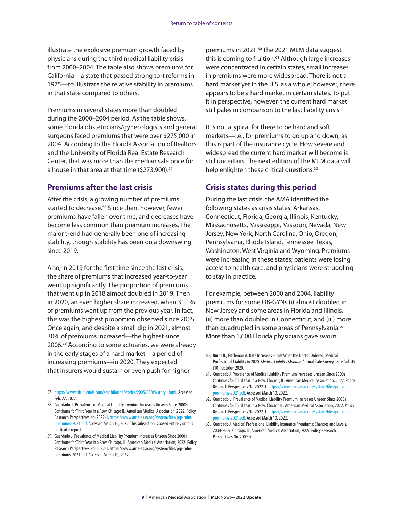illustrate the explosive premium growth faced by physicians during the third medical liability crisis from 2000–2004. The table also shows premiums for California—a state that passed strong tort reforms in 1975—to illustrate the relative stability in premiums in that state compared to others.

Premiums in several states more than doubled during the 2000–2004 period. As the table shows, some Florida obstetricians/gynecologists and general surgeons faced premiums that were over \$275,000 in 2004. According to the Florida Association of Realtors and the University of Florida Real Estate Research Center, that was more than the median sale price for a house in that area at that time (\$273,900).<sup>57</sup>

#### **Premiums after the last crisis**

After the crisis, a growing number of premiums started to decrease.<sup>58</sup> Since then, however, fewer premiums have fallen over time, and decreases have become less common than premium increases. The major trend had generally been one of increasing stability, though stability has been on a downswing since 2019.

Also, in 2019 for the first time since the last crisis, the share of premiums that increased year-to-year went up significantly. The proportion of premiums that went up in 2018 almost doubled in 2019. Then in 2020, an even higher share increased, when 31.1% of premiums went up from the previous year. In fact, this was the highest proportion observed since 2005. Once again, and despite a small dip in 2021, almost 30% of premiums increased—the highest since 2006.59 According to some actuaries, we were already in the early stages of a hard market—a period of increasing premiums—in 2020. They expected that insurers would sustain or even push for higher

premiums in 2021.<sup>60</sup> The 2021 MLM data suggest this is coming to fruition.<sup>61</sup> Although large increases were concentrated in certain states, small increases in premiums were more widespread. There is not a hard market yet in the U.S. as a whole; however, there appears to be a hard market in certain states. To put it in perspective, however, the current hard market still pales in comparison to the last liability crisis.

It is not atypical for there to be hard and soft markets—i.e., for premiums to go up and down, as this is part of the insurance cycle. How severe and widespread the current hard market will become is still uncertain. The next edition of the MLM data will help enlighten these critical questions.<sup>62</sup>

#### **Crisis states during this period**

During the last crisis, the AMA identified the following states as crisis states: Arkansas, Connecticut, Florida, Georgia, Illinois, Kentucky, Massachusetts, Mississippi, Missouri, Nevada, New Jersey, New York, North Carolina, Ohio, Oregon, Pennsylvania, Rhode Island, Tennessee, Texas, Washington, West Virginia and Wyoming. Premiums were increasing in these states; patients were losing access to health care, and physicians were struggling to stay in practice.

For example, between 2000 and 2004, liability premiums for some OB-GYNs (i) almost doubled in New Jersey and some areas in Florida and Illinois, (ii) more than doubled in Connecticut, and (iii) more than quadrupled in some areas of Pennsylvania.<sup>63</sup> More than 1,600 Florida physicians gave sworn

<sup>57.</sup> [https://www.bizjournals.com/southflorida/stories/2005/05/09/story6.html.](https://www.bizjournals.com/southflorida/stories/2005/05/09/story6.html) Accessed Feb. 22, 2022.

<sup>58.</sup> Guardado. J. Prevalence of Medical Liability Premium Increases Unseen Since 2000s Continues for Third Year in a Row. Chicago IL: American Medical Association; 2022. Policy Research Perspectives No. 2022-1. [https://www.ama-assn.org/system/files/prp-mlm](https://www.ama-assn.org/system/files/prp-mlm-premiums-2021.pdf)[premiums-2021.pdf.](https://www.ama-assn.org/system/files/prp-mlm-premiums-2021.pdf) Accessed March 10, 2022. This subsection is based entirely on this particular report.

<sup>59.</sup> Guardado J. Prevalence of Medical Liability Premium Increases Unseen Since 2000s Continues for Third Year in a Row. Chicago, IL: American Medical Association; 2022. Policy Research Perspectives No. 2022-1. https://www.ama-assn.org/system/files/prp-mlmpremiums-2021.pdf. Accessed March 10, 2022.

<sup>60.</sup> Burns B., Gittleman A. Rate Increases – Just What the Doctor Ordered. Medical Professional Liability in 2020. *Medical Liability Monitor*, Annual Rate Survey Issue, Vol. 45 (10). October 2020.

<sup>61.</sup> Guardado J. Prevalence of Medical Liability Premium Increases Unseen Since 2000s Continues for Third Year in a Row. Chicago, IL: American Medical Association; 2022. Policy Research Perspectives No. 2022-1. [https://www.ama-assn.org/system/files/prp-mlm](https://www.ama-assn.org/system/files/prp-mlm-premiums-2021.pdf)[premiums-2021.pdf](https://www.ama-assn.org/system/files/prp-mlm-premiums-2021.pdf). Accessed March 10, 2022.

<sup>62.</sup> Guardado. J. Prevalence of Medical Liability Premium Increases Unseen Since 2000s Continues for Third Year in a Row. Chicago IL: American Medical Association; 2022. Policy Research Perspectives No. 2022-1. [https://www.ama-assn.org/system/files/prp-mlm](https://www.ama-assn.org/system/files/prp-mlm-premiums-2021.pdf)[premiums-2021.pdf](https://www.ama-assn.org/system/files/prp-mlm-premiums-2021.pdf). Accessed March 10, 2022.

<sup>63.</sup> Guardado J. Medical Professional Liability Insurance Premiums: Changes and Levels, 2004-2009. Chicago, IL: American Medical Association; 2009. Policy Research Perspectives No. 2009-5.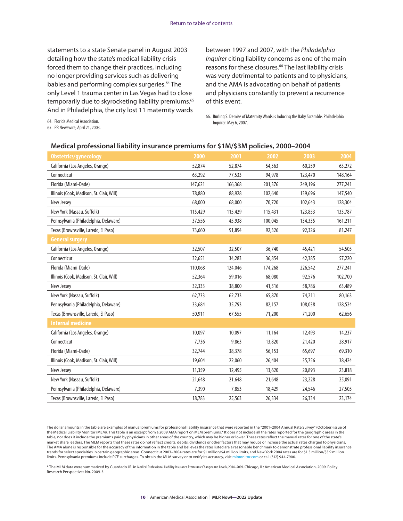statements to a state Senate panel in August 2003 detailing how the state's medical liability crisis forced them to change their practices, including no longer providing services such as delivering babies and performing complex surgeries.<sup>64</sup> The only Level 1 trauma center in Las Vegas had to close temporarily due to skyrocketing liability premiums.<sup>65</sup> And in Philadelphia, the city lost 11 maternity wards

between 1997 and 2007, with the *Philadelphia Inquirer* citing liability concerns as one of the main reasons for these closures.<sup>66</sup> The last liability crisis was very detrimental to patients and to physicians, and the AMA is advocating on behalf of patients and physicians constantly to prevent a recurrence of this event.

64. Florida Medical Association.

65. PR Newswire, April 21, 2003.

66. Burling S. Demise of Maternity Wards is Inducing the Baby Scramble. Philadelphia Inquirer. May 6, 2007.

#### **Medical professional liability insurance premiums for \$1M/\$3M policies, 2000–2004**

| Obstetrics/gynecology                     | 2000    | 2001    | 2002    | 2003    | 2004    |
|-------------------------------------------|---------|---------|---------|---------|---------|
| California (Los Angeles, Orange)          | 52,874  | 52,874  | 54,563  | 60,259  | 63,272  |
| Connecticut                               | 63,292  | 77,533  | 94,978  | 123,470 | 148,164 |
| Florida (Miami-Dade)                      | 147,621 | 166,368 | 201,376 | 249,196 | 277,241 |
| Illinois (Cook, Madison, St. Clair, Will) | 78,880  | 88,928  | 102,640 | 139,696 | 147,540 |
| New Jersey                                | 68,000  | 68,000  | 70,720  | 102,643 | 128,304 |
| New York (Nassau, Suffolk)                | 115,429 | 115,429 | 115,431 | 123,853 | 133,787 |
| Pennsylvania (Philadelphia, Delaware)     | 37,556  | 45,938  | 100,045 | 134,335 | 161,211 |
| Texas (Brownsville, Laredo, El Paso)      | 73,660  | 91,894  | 92,326  | 92,326  | 81,247  |
| <b>General surgery</b>                    |         |         |         |         |         |
| California (Los Angeles, Orange)          | 32,507  | 32,507  | 36,740  | 45,421  | 54,505  |
| Connecticut                               | 32,651  | 34,283  | 36,854  | 42,385  | 57,220  |
| Florida (Miami-Dade)                      | 110,068 | 124,046 | 174,268 | 226,542 | 277,241 |
| Illinois (Cook, Madison, St. Clair, Will) | 52,364  | 59,016  | 68,080  | 92,576  | 102,700 |
| New Jersey                                | 32,333  | 38,800  | 41,516  | 58,786  | 63,489  |
| New York (Nassau, Suffolk)                | 62,733  | 62,733  | 65,870  | 74,211  | 80,163  |
| Pennsylvania (Philadelphia, Delaware)     | 33,684  | 35,793  | 82,157  | 108,038 | 128,524 |
| Texas (Brownsville, Laredo, El Paso)      | 50,911  | 67,555  | 71,200  | 71,200  | 62,656  |
| <b>Internal medicine</b>                  |         |         |         |         |         |
| California (Los Angeles, Orange)          | 10,097  | 10,097  | 11,164  | 12,493  | 14,237  |
| Connecticut                               | 7,736   | 9,863   | 13,820  | 21,420  | 28,917  |
| Florida (Miami-Dade)                      | 32,744  | 38,378  | 56,153  | 65,697  | 69,310  |
| Illinois (Cook, Madison, St. Clair, Will) | 19,604  | 22,060  | 26,404  | 35,756  | 38,424  |
| New Jersey                                | 11,359  | 12,495  | 13,620  | 20,893  | 23,818  |
| New York (Nassau, Suffolk)                | 21,648  | 21,648  | 21,648  | 23,228  | 25,091  |
| Pennsylvania (Philadelphia, Delaware)     | 7,390   | 7,853   | 18,429  | 24,546  | 27,505  |
| Texas (Brownsville, Laredo, El Paso)      | 18,783  | 25,563  | 26,334  | 26,334  | 23,174  |

The dollar amounts in the table are examples of manual premiums for professional liability insurance that were reported in the "2001–2004 Annual Rate Survey" (October) issue of the Medical Liability Monitor (MLM). This table is an excerpt from a 2009 AMA report on MLM premiums.\* It does not include all the rates reported for the geographic areas in the table, nor does it include the premiums paid by physicians in other areas of the country, which may be higher or lower. These rates reflect the manual rates for one of the state's market share leaders. The MLM reports that these rates do not reflect credits, debits, dividends or other factors that may reduce or increase the actual rates charged to physicians. The AMA alone is responsible for the accuracy of the information in the table and believes the rates listed are a reasonable benchmark to demonstrate professional liability insurance trends for select specialties in certain geographic areas. Connecticut 2003–2004 rates are for \$1 million/\$4 million limits, and New York 2004 rates are for \$1.3 million/\$3.9 million limits. Pennsylvania premiums include PCF surcharges. To obtain the MLM survey or to verify its accuracy, visit [mlmonitor.com](http://www.mlmonitor.com) or call (312) 944-7900.

\* The MLM data were summarized by Guardado JR. in Medical Professional Liability Insurance Premiums: Changes and Levels, 2004–2009. Chicago, IL: American Medical Association, 2009. Policy Research Perspectives No. 2009-5.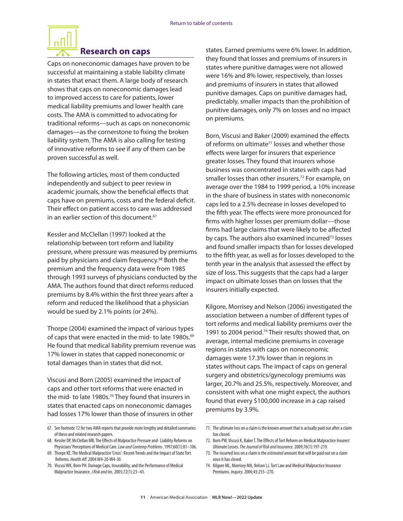# **Research on caps**

<span id="page-12-0"></span>Caps on noneconomic damages have proven to be successful at maintaining a stable liability climate in states that enact them. A large body of research shows that caps on noneconomic damages lead to improved access to care for patients, lower medical liability premiums and lower health care costs. The AMA is committed to advocating for traditional reforms—such as caps on noneconomic damages—as the cornerstone to fixing the broken liability system. The AMA is also calling for testing of innovative reforms to see if any of them can be proven successful as well.

The following articles, most of them conducted independently and subject to peer review in academic journals, show the beneficial effects that caps have on premiums, costs and the federal deficit. Their effect on patient access to care was addressed in an earlier section of this document.<sup>67</sup>

Kessler and McClellan (1997) looked at the relationship between tort reform and liability pressure, where pressure was measured by premiums paid by physicians and claim frequency.<sup>68</sup> Both the premium and the frequency data were from 1985 through 1993 surveys of physicians conducted by the AMA. The authors found that direct reforms reduced premiums by 8.4% within the first three years after a reform and reduced the likelihood that a physician would be sued by 2.1% points (or 24%).

Thorpe (2004) examined the impact of various types of caps that were enacted in the mid- to late 1980s.<sup>69</sup> He found that medical liability premium revenue was 17% lower in states that capped noneconomic or total damages than in states that did not.

Viscusi and Born (2005) examined the impact of caps and other tort reforms that were enacted in the mid- to late 1980s.<sup>70</sup> They found that insurers in states that enacted caps on noneconomic damages had losses 17% lower than those of insurers in other states. Earned premiums were 6% lower. In addition, they found that losses and premiums of insurers in states where punitive damages were not allowed were 16% and 8% lower, respectively, than losses and premiums of insurers in states that allowed punitive damages. Caps on punitive damages had, predictably, smaller impacts than the prohibition of punitive damages, only 7% on losses and no impact on premiums.

Born, Viscusi and Baker (2009) examined the effects of reforms on ultimate<sup>71</sup> losses and whether those effects were larger for insurers that experience greater losses. They found that insurers whose business was concentrated in states with caps had smaller losses than other insurers.<sup>72</sup> For example, on average over the 1984 to 1999 period, a 10% increase in the share of business in states with noneconomic caps led to a 2.5% decrease in losses developed to the fifth year. The effects were more pronounced for firms with higher losses per premium dollar—those firms had large claims that were likely to be affected by caps. The authors also examined incurred<sup>73</sup> losses and found smaller impacts than for losses developed to the fifth year, as well as for losses developed to the tenth year in the analysis that assessed the effect by size of loss. This suggests that the caps had a larger impact on ultimate losses than on losses that the insurers initially expected.

Kilgore, Morrisey and Nelson (2006) investigated the association between a number of different types of tort reforms and medical liability premiums over the 1991 to 2004 period.<sup>74</sup> Their results showed that, on average, internal medicine premiums in coverage regions in states with caps on noneconomic damages were 17.3% lower than in regions in states without caps. The impact of caps on general surgery and obstetrics/gynecology premiums was larger, 20.7% and 25.5%, respectively. Moreover, and consistent with what one might expect, the authors found that every \$100,000 increase in a cap raised premiums by 3.9%.

<sup>67.</sup> See footnote 12 for two AMA reports that provide more lengthy and detailed summaries of these and related research papers.

<sup>68.</sup> Kessler DP, McClellan MB. The Effects of Malpractice Pressure and- Liability Reforms on Physicians' Perceptions of Medical Care. *Law and Contemp Problems*. 1997;60(1):81–106.

<sup>69.</sup> Thorpe KE. The Medical Malpractice 'Crisis': Recent Trends and the Impact of State Tort Reforms. *Health Aff*. 2004:W4-20-W4-30.

<sup>70.</sup> Viscusi WK, Born PH. Damage Caps, Insurability, and the Performance of Medical Malpractice Insurance. *J Risk and Ins*. 2005;72(1):23–43.

<sup>71.</sup> The ultimate loss on a claim is the known amount that is actually paid out after a claim has closed.

<sup>72.</sup> Born PW, Viscusi K, Baker T. The Effects of Tort Reform on Medical Malpractice Insurers' Ultimate Losses*. The Journal of Risk and Insurance*. 2009;76(1):197-219.

<sup>73.</sup> The incurred loss on a claim is the *estimated* amount that will be paid out on a claim once it has closed.

<sup>74.</sup> Kilgore ML, Morrisey MA, Nelson LJ. Tort Law and Medical Malpractice Insurance Premiums. *Inquiry*. 2006;43:255–270.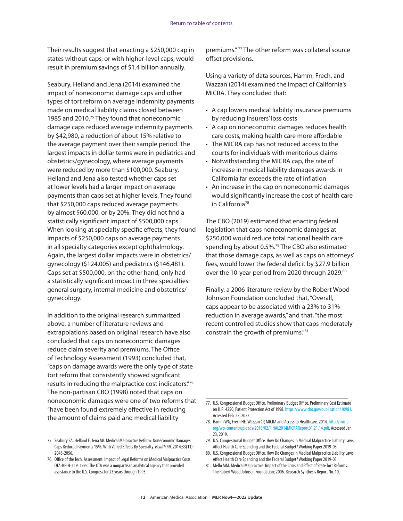Their results suggest that enacting a \$250,000 cap in states without caps, or with higher-level caps, would result in premium savings of \$1.4 billion annually.

Seabury, Helland and Jena (2014) examined the impact of noneconomic damage caps and other types of tort reform on average indemnity payments made on medical liability claims closed between 1985 and 2010.<sup>75</sup> They found that noneconomic damage caps reduced average indemnity payments by \$42,980, a reduction of about 15% relative to the average payment over their sample period. The largest impacts in dollar terms were in pediatrics and obstetrics/gynecology, where average payments were reduced by more than \$100,000. Seabury, Helland and Jena also tested whether caps set at lower levels had a larger impact on average payments than caps set at higher levels. They found that \$250,000 caps reduced average payments by almost \$60,000, or by 20%. They did not find a statistically significant impact of \$500,000 caps. When looking at specialty specific effects, they found impacts of \$250,000 caps on average payments in all specialty categories except ophthalmology. Again, the largest dollar impacts were in obstetrics/ gynecology (\$124,005) and pediatrics (\$146,481). Caps set at \$500,000, on the other hand, only had a statistically significant impact in three specialties: general surgery, internal medicine and obstetrics/ gynecology.

In addition to the original research summarized above, a number of literature reviews and extrapolations based on original research have also concluded that caps on noneconomic damages reduce claim severity and premiums. The Office of Technology Assessment (1993) concluded that, "caps on damage awards were the only type of state tort reform that consistently showed significant results in reducing the malpractice cost indicators."76 The non-partisan CBO (1998) noted that caps on noneconomic damages were one of two reforms that "have been found extremely effective in reducing the amount of claims paid and medical liability

premiums." 77 The other reform was collateral source offset provisions.

Using a variety of data sources, Hamm, Frech, and Wazzan (2014) examined the impact of California's MICRA. They concluded that:

- A cap lowers medical liability insurance premiums by reducing insurers' loss costs
- A cap on noneconomic damages reduces health care costs, making health care more affordable
- The MICRA cap has not reduced access to the courts for individuals with meritorious claims
- Notwithstanding the MICRA cap, the rate of increase in medical liability damages awards in California far exceeds the rate of inflation
- An increase in the cap on noneconomic damages would significantly increase the cost of health care in California<sup>78</sup>

The CBO (2019) estimated that enacting federal legislation that caps noneconomic damages at \$250,000 would reduce total national health care spending by about 0.5%.<sup>79</sup> The CBO also estimated that those damage caps, as well as caps on attorneys' fees, would lower the federal deficit by \$27.9 billion over the 10-year period from 2020 through 2029.80

Finally, a 2006 literature review by the Robert Wood Johnson Foundation concluded that, "Overall, caps appear to be associated with a 23% to 31% reduction in average awards," and that, "the most recent controlled studies show that caps moderately constrain the growth of premiums."81

81. Mello MM. Medical Malpractice: Impact of the Crisis and Effect of State Tort Reforms. The Robert Wood Johnson Foundation; 2006. Research Synthesis Report No. 10.

<sup>75.</sup> Seabury SA, Helland E, Jena AB. Medical Malpractice Reform: Noneconomic Damages Caps Reduced Payments 15%, With Varied Effects By Specialty. *Health Aff*. 2014;33(11): 2048-2056.

<sup>76.</sup> Office of the Tech. Assessment. Impact of Legal Reforms on Medical Malpractice Costs. OTA-BP-H-119. 1993. The OTA was a nonpartisan analytical agency that provided assistance to the U.S. Congress for 23 years through 1995.

<sup>77.</sup> U.S. Congressional Budget Office. Preliminary Budget Office, Preliminary Cost Estimate on H.R. 4250, Patient Protection Act of 1998. [https://www.cbo.gov/publication/10981.](https://www.cbo.gov/publication/10981) Accessed Feb. 22, 2022.

<sup>78.</sup> Hamm WG, Frech HE, Wazzan CP, MICRA and Access to Healthcare. 2014. [http://micra.](http://micra.org/wp-content/uploads/2016/02/FINAL2014MICRAReport01.21.14.pdf) [org/wp-content/uploads/2016/02/FINAL2014MICRAReport01.21.14.pdf](http://micra.org/wp-content/uploads/2016/02/FINAL2014MICRAReport01.21.14.pdf). Accessed Jan. 23, 2019.

<sup>79.</sup> U.S. Congressional Budget Office. How Do Changes in Medical Malpractice Liability Laws Affect Health Care Spending and the Federal Budget? Working Paper 2019-03

<sup>80.</sup> U.S. Congressional Budget Office. How Do Changes in Medical Malpractice Liability Laws Affect Health Care Spending and the Federal Budget? Working Paper 2019-03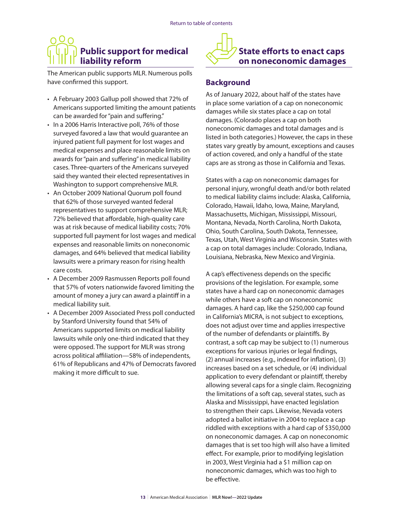# <span id="page-14-0"></span>**Public support for medical liability reform**

The American public supports MLR. Numerous polls have confirmed this support.

- A February 2003 Gallup poll showed that 72% of Americans supported limiting the amount patients can be awarded for "pain and suffering."
- In a 2006 Harris Interactive poll, 76% of those surveyed favored a law that would guarantee an injured patient full payment for lost wages and medical expenses and place reasonable limits on awards for "pain and suffering" in medical liability cases. Three-quarters of the Americans surveyed said they wanted their elected representatives in Washington to support comprehensive MLR.
- An October 2009 National Quorum poll found that 62% of those surveyed wanted federal representatives to support comprehensive MLR; 72% believed that affordable, high-quality care was at risk because of medical liability costs; 70% supported full payment for lost wages and medical expenses and reasonable limits on noneconomic damages, and 64% believed that medical liability lawsuits were a primary reason for rising health care costs.
- A December 2009 Rasmussen Reports poll found that 57% of voters nationwide favored limiting the amount of money a jury can award a plaintiff in a medical liability suit.
- A December 2009 Associated Press poll conducted by Stanford University found that 54% of Americans supported limits on medical liability lawsuits while only one-third indicated that they were opposed. The support for MLR was strong across political affiliation—58% of independents, 61% of Republicans and 47% of Democrats favored making it more difficult to sue.



# **Background**

As of January 2022, about half of the states have in place some variation of a cap on noneconomic damages while six states place a cap on total damages. (Colorado places a cap on both noneconomic damages and total damages and is listed in both categories.) However, the caps in these states vary greatly by amount, exceptions and causes of action covered, and only a handful of the state caps are as strong as those in California and Texas.

States with a cap on noneconomic damages for personal injury, wrongful death and/or both related to medical liability claims include: Alaska, California, Colorado, Hawaii, Idaho, Iowa, Maine, Maryland, Massachusetts, Michigan, Mississippi, Missouri, Montana, Nevada, North Carolina, North Dakota, Ohio, South Carolina, South Dakota, Tennessee, Texas, Utah, West Virginia and Wisconsin. States with a cap on total damages include: Colorado, Indiana, Louisiana, Nebraska, New Mexico and Virginia.

A cap's effectiveness depends on the specific provisions of the legislation. For example, some states have a hard cap on noneconomic damages while others have a soft cap on noneconomic damages. A hard cap, like the \$250,000 cap found in California's MICRA, is not subject to exceptions, does not adjust over time and applies irrespective of the number of defendants or plaintiffs. By contrast, a soft cap may be subject to (1) numerous exceptions for various injuries or legal findings, (2) annual increases (e.g., indexed for inflation), (3) increases based on a set schedule, or (4) individual application to every defendant or plaintiff, thereby allowing several caps for a single claim. Recognizing the limitations of a soft cap, several states, such as Alaska and Mississippi, have enacted legislation to strengthen their caps. Likewise, Nevada voters adopted a ballot initiative in 2004 to replace a cap riddled with exceptions with a hard cap of \$350,000 on noneconomic damages. A cap on noneconomic damages that is set too high will also have a limited effect. For example, prior to modifying legislation in 2003, West Virginia had a \$1 million cap on noneconomic damages, which was too high to be effective.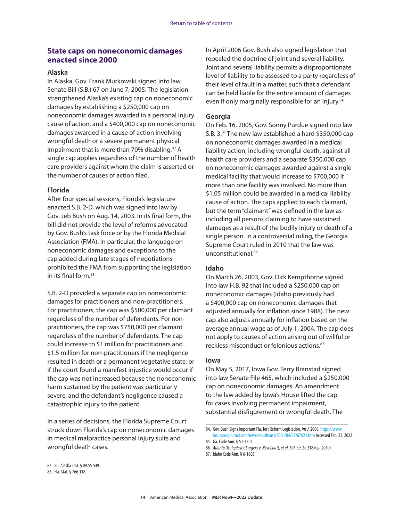#### **State caps on noneconomic damages enacted since 2000**

#### **Alaska**

In Alaska, Gov. Frank Murkowski signed into law Senate Bill (S.B.) 67 on June 7, 2005. The legislation strengthened Alaska's existing cap on noneconomic damages by establishing a \$250,000 cap on noneconomic damages awarded in a personal injury cause of action, and a \$400,000 cap on noneconomic damages awarded in a cause of action involving wrongful death or a severe permanent physical impairment that is more than 70% disabling.<sup>82</sup> A single cap applies regardless of the number of health care providers against whom the claim is asserted or the number of causes of action filed.

#### **Florida**

After four special sessions, Florida's legislature enacted S.B. 2-D, which was signed into law by Gov. Jeb Bush on Aug. 14, 2003. In its final form, the bill did not provide the level of reforms advocated by Gov. Bush's task force or by the Florida Medical Association (FMA). In particular, the language on noneconomic damages and exceptions to the cap added during late stages of negotiations prohibited the FMA from supporting the legislation in its final form.<sup>83</sup>

S.B. 2-D provided a separate cap on noneconomic damages for practitioners and non-practitioners. For practitioners, the cap was \$500,000 per claimant regardless of the number of defendants. For nonpractitioners, the cap was \$750,000 per claimant regardless of the number of defendants. The cap could increase to \$1 million for practitioners and \$1.5 million for non-practitioners if the negligence resulted in death or a permanent vegetative state, or if the court found a manifest injustice would occur if the cap was not increased because the noneconomic harm sustained by the patient was particularly severe, and the defendant's negligence caused a catastrophic injury to the patient.

In a series of decisions, the Florida Supreme Court struck down Florida's cap on noneconomic damages in medical malpractice personal injury suits and wrongful death cases.

In April 2006 Gov. Bush also signed legislation that repealed the doctrine of joint and several liability. Joint and several liability permits a disproportionate level of liability to be assessed to a party regardless of their level of fault in a matter, such that a defendant can be held liable for the entire amount of damages even if only marginally responsible for an injury.<sup>84</sup>

#### **Georgia**

On Feb. 16, 2005, Gov. Sonny Purdue signed into law S.B. 3.<sup>85</sup> The new law established a hard \$350,000 cap on noneconomic damages awarded in a medical liability action, including wrongful death, against all health care providers and a separate \$350,000 cap on noneconomic damages awarded against a single medical facility that would increase to \$700,000 if more than one facility was involved. No more than \$1.05 million could be awarded in a medical liability cause of action. The caps applied to each claimant, but the term "claimant" was defined in the law as including all persons claiming to have sustained damages as a result of the bodily injury or death of a single person. In a controversial ruling, the Georgia Supreme Court ruled in 2010 that the law was unconstitutional.<sup>86</sup>

#### **Idaho**

On March 26, 2003, Gov. Dirk Kempthorne signed into law H.B. 92 that included a \$250,000 cap on noneconomic damages (Idaho previously had a \$400,000 cap on noneconomic damages that adjusted annually for inflation since 1988). The new cap also adjusts annually for inflation based on the average annual wage as of July 1, 2004. The cap does not apply to causes of action arising out of willful or reckless misconduct or felonious actions.<sup>87</sup>

#### **Iowa**

On May 5, 2017, Iowa Gov. Terry Branstad signed into law Senate File 465, which included a \$250,000 cap on noneconomic damages. An amendment to the law added by Iowa's House lifted the cap for cases involving permanent impairment, substantial disfigurement or wrongful death. The

86. *Atlanta Oculoplastic Surgery v. Nestlehutt*, *et al*. 691 S.E.2d 218 (Ga. 2010)

<sup>84.</sup> Gov. Bush Signs Important Fla. Tort Reform Legislation, *Ins J*. 2006. [https://www.](https://www.insurancejournal.com/news/southeast/2006/04/27/67621.htm) [insurancejournal.com/news/southeast/2006/04/27/67621.htm](https://www.insurancejournal.com/news/southeast/2006/04/27/67621.htm) Accessed Feb. 22, 2022.

<sup>85.</sup> Ga. Code Ann. § 51-13-1.

<sup>87.</sup> Idaho Code Ann. § 6-1603.

<sup>82.</sup> 80. Alaska Stat. § 09.55.549.

<sup>83.</sup> Fla. Stat. § 766.118.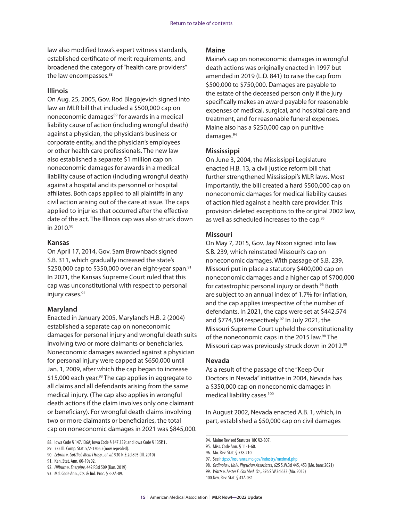law also modified Iowa's expert witness standards, established certificate of merit requirements, and broadened the category of "health care providers" the law encompasses.<sup>88</sup>

#### **Illinois**

On Aug. 25, 2005, Gov. Rod Blagojevich signed into law an MLR bill that included a \$500,000 cap on noneconomic damages<sup>89</sup> for awards in a medical liability cause of action (including wrongful death) against a physician, the physician's business or corporate entity, and the physician's employees or other health care professionals. The new law also established a separate \$1 million cap on noneconomic damages for awards in a medical liability cause of action (including wrongful death) against a hospital and its personnel or hospital affiliates. Both caps applied to all plaintiffs in any civil action arising out of the care at issue. The caps applied to injuries that occurred after the effective date of the act. The Illinois cap was also struck down in 2010.90

#### **Kansas**

On April 17, 2014, Gov. Sam Brownback signed S.B. 311, which gradually increased the state's \$250,000 cap to \$350,000 over an eight-year span.<sup>91</sup> In 2021, the Kansas Supreme Court ruled that this cap was unconstitutional with respect to personal injury cases.<sup>92</sup>

#### **Maryland**

Enacted in January 2005, Maryland's H.B. 2 (2004) established a separate cap on noneconomic damages for personal injury and wrongful death suits involving two or more claimants or beneficiaries. Noneconomic damages awarded against a physician for personal injury were capped at \$650,000 until Jan. 1, 2009, after which the cap began to increase \$15,000 each year.<sup>93</sup> The cap applies in aggregate to all claims and all defendants arising from the same medical injury. (The cap also applies in wrongful death actions if the claim involves only one claimant or beneficiary). For wrongful death claims involving two or more claimants or beneficiaries, the total cap on noneconomic damages in 2021 was \$845,000.

#### **Maine**

Maine's cap on noneconomic damages in wrongful death actions was originally enacted in 1997 but amended in 2019 (L.D. 841) to raise the cap from \$500,000 to \$750,000. Damages are payable to the estate of the deceased person only if the jury specifically makes an award payable for reasonable expenses of medical, surgical, and hospital care and treatment, and for reasonable funeral expenses. Maine also has a \$250,000 cap on punitive damages.94

#### **Mississippi**

On June 3, 2004, the Mississippi Legislature enacted H.B. 13, a civil justice reform bill that further strengthened Mississippi's MLR laws. Most importantly, the bill created a hard \$500,000 cap on noneconomic damages for medical liability causes of action filed against a health care provider. This provision deleted exceptions to the original 2002 law, as well as scheduled increases to the cap.<sup>95</sup>

#### **Missouri**

On May 7, 2015, Gov. Jay Nixon signed into law S.B. 239, which reinstated Missouri's cap on noneconomic damages. With passage of S.B. 239, Missouri put in place a statutory \$400,000 cap on noneconomic damages and a higher cap of \$700,000 for catastrophic personal injury or death.<sup>96</sup> Both are subject to an annual index of 1.7% for inflation, and the cap applies irrespective of the number of defendants. In 2021, the caps were set at \$442,574 and \$774,504 respectively.<sup>97</sup> In July 2021, the Missouri Supreme Court upheld the constitutionality of the noneconomic caps in the 2015 law.<sup>98</sup> The Missouri cap was previously struck down in 2012.99

#### **Nevada**

As a result of the passage of the "Keep Our Doctors in Nevada" initiative in 2004, Nevada has a \$350,000 cap on noneconomic damages in medical liability cases.<sup>100</sup>

In August 2002, Nevada enacted A.B. 1, which, in part, established a \$50,000 cap on civil damages

<sup>88.</sup> Iowa Code § 147.136A; Iowa Code § 147.139; and Iowa Code § 135P.1 .

<sup>89.</sup> 735 Ill. Comp. Stat. 5/2-1706.5(now repealed).

<sup>90.</sup> *Lebron v. Gottlieb Mem'l Hosp*., *et. al.* 930 N.E.2d 895 (Ill. 2010)

<sup>91.</sup> Kan. Stat. Ann. 60-19a02.

<sup>92.</sup> *Hilburn v. Enerpipe*, 442 P.3d 509 (Kan. 2019)

<sup>93.</sup> Md. Code Ann., Cts. & Jud. Proc. § 3-2A-09.

<sup>94.</sup> Maine Revised Statutes 18C §2-807.

<sup>95.</sup> Miss. Code Ann. § 11-1-60.

<sup>96.</sup> Mo. Rev. Stat. § 538.210.

<sup>97.</sup> See <https://insurance.mo.gov/industry/medmal.php>

<sup>98.</sup> *Ordinola v. Univ. Physician Associates*, 625 S.W.3d 445, 453 (Mo. banc 2021)

<sup>99.</sup> *Watts v. Lester E. Cox Med. Ctr*., 376 S.W.3d 633 (Mo. 2012)

<sup>100.</sup>Nev. Rev. Stat. § 41A.031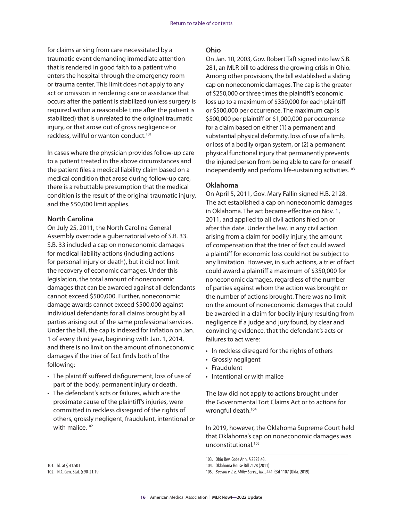for claims arising from care necessitated by a traumatic event demanding immediate attention that is rendered in good faith to a patient who enters the hospital through the emergency room or trauma center. This limit does not apply to any act or omission in rendering care or assistance that occurs after the patient is stabilized (unless surgery is required within a reasonable time after the patient is stabilized) that is unrelated to the original traumatic injury, or that arose out of gross negligence or reckless, willful or wanton conduct.<sup>101</sup>

In cases where the physician provides follow-up care to a patient treated in the above circumstances and the patient files a medical liability claim based on a medical condition that arose during follow-up care, there is a rebuttable presumption that the medical condition is the result of the original traumatic injury, and the \$50,000 limit applies.

#### **North Carolina**

On July 25, 2011, the North Carolina General Assembly overrode a gubernatorial veto of S.B. 33. S.B. 33 included a cap on noneconomic damages for medical liability actions (including actions for personal injury or death), but it did not limit the recovery of economic damages. Under this legislation, the total amount of noneconomic damages that can be awarded against all defendants cannot exceed \$500,000. Further, noneconomic damage awards cannot exceed \$500,000 against individual defendants for all claims brought by all parties arising out of the same professional services. Under the bill, the cap is indexed for inflation on Jan. 1 of every third year, beginning with Jan. 1, 2014, and there is no limit on the amount of noneconomic damages if the trier of fact finds both of the following:

- The plaintiff suffered disfigurement, loss of use of part of the body, permanent injury or death.
- The defendant's acts or failures, which are the proximate cause of the plaintiff's injuries, were committed in reckless disregard of the rights of others, grossly negligent, fraudulent, intentional or with malice.<sup>102</sup>

#### **Ohio**

On Jan. 10, 2003, Gov. Robert Taft signed into law S.B. 281, an MLR bill to address the growing crisis in Ohio. Among other provisions, the bill established a sliding cap on noneconomic damages. The cap is the greater of \$250,000 or three times the plaintiff's economic loss up to a maximum of \$350,000 for each plaintiff or \$500,000 per occurrence. The maximum cap is \$500,000 per plaintiff or \$1,000,000 per occurrence for a claim based on either (1) a permanent and substantial physical deformity, loss of use of a limb, or loss of a bodily organ system, or (2) a permanent physical functional injury that permanently prevents the injured person from being able to care for oneself independently and perform life-sustaining activities.<sup>103</sup>

#### **Oklahoma**

On April 5, 2011, Gov. Mary Fallin signed H.B. 2128. The act established a cap on noneconomic damages in Oklahoma. The act became effective on Nov. 1, 2011, and applied to all civil actions filed on or after this date. Under the law, in any civil action arising from a claim for bodily injury, the amount of compensation that the trier of fact could award a plaintiff for economic loss could not be subject to any limitation. However, in such actions, a trier of fact could award a plaintiff a maximum of \$350,000 for noneconomic damages, regardless of the number of parties against whom the action was brought or the number of actions brought. There was no limit on the amount of noneconomic damages that could be awarded in a claim for bodily injury resulting from negligence if a judge and jury found, by clear and convincing evidence, that the defendant's acts or failures to act were:

- In reckless disregard for the rights of others
- Grossly negligent
- Fraudulent
- Intentional or with malice

The law did not apply to actions brought under the Governmental Tort Claims Act or to actions for wrongful death.104

In 2019, however, the Oklahoma Supreme Court held that Oklahoma's cap on noneconomic damages was unconstitutional.105

101. Id. at § 41.503

<sup>103.</sup> Ohio Rev. Code Ann. § 2323.43.

<sup>104.</sup> Oklahoma House Bill 2128 (2011)

<sup>105.</sup> *Beason v. I. E. Miller Servs., Inc*., 441 P.3d 1107 (Okla. 2019)

<sup>102.</sup> N.C. Gen. Stat. § 90-21.19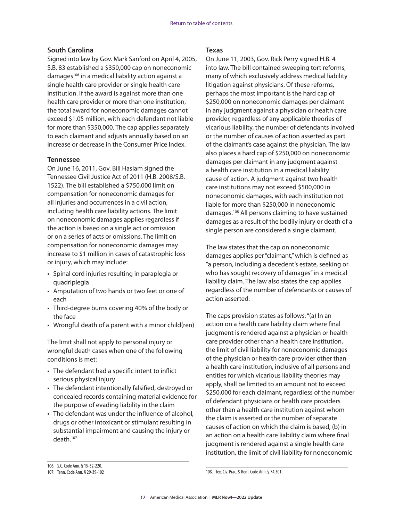#### **South Carolina**

Signed into law by Gov. Mark Sanford on April 4, 2005, S.B. 83 established a \$350,000 cap on noneconomic damages106 in a medical liability action against a single health care provider or single health care institution. If the award is against more than one health care provider or more than one institution, the total award for noneconomic damages cannot exceed \$1.05 million, with each defendant not liable for more than \$350,000. The cap applies separately to each claimant and adjusts annually based on an increase or decrease in the Consumer Price Index.

#### **Tennessee**

On June 16, 2011, Gov. Bill Haslam signed the Tennessee Civil Justice Act of 2011 (H.B. 2008/S.B. 1522). The bill established a \$750,000 limit on compensation for noneconomic damages for all injuries and occurrences in a civil action, including health care liability actions. The limit on noneconomic damages applies regardless if the action is based on a single act or omission or on a series of acts or omissions. The limit on compensation for noneconomic damages may increase to \$1 million in cases of catastrophic loss or injury, which may include:

- Spinal cord injuries resulting in paraplegia or quadriplegia
- Amputation of two hands or two feet or one of each
- Third-degree burns covering 40% of the body or the face
- Wrongful death of a parent with a minor child(ren)

The limit shall not apply to personal injury or wrongful death cases when one of the following conditions is met:

- The defendant had a specific intent to inflict serious physical injury
- The defendant intentionally falsified, destroyed or concealed records containing material evidence for the purpose of evading liability in the claim
- The defendant was under the influence of alcohol, drugs or other intoxicant or stimulant resulting in substantial impairment and causing the injury or death.107

#### **Texas**

On June 11, 2003, Gov. Rick Perry signed H.B. 4 into law. The bill contained sweeping tort reforms, many of which exclusively address medical liability litigation against physicians. Of these reforms, perhaps the most important is the hard cap of \$250,000 on noneconomic damages per claimant in any judgment against a physician or health care provider, regardless of any applicable theories of vicarious liability, the number of defendants involved or the number of causes of action asserted as part of the claimant's case against the physician. The law also places a hard cap of \$250,000 on noneconomic damages per claimant in any judgment against a health care institution in a medical liability cause of action. A judgment against two health care institutions may not exceed \$500,000 in noneconomic damages, with each institution not liable for more than \$250,000 in noneconomic damages.108 All persons claiming to have sustained damages as a result of the bodily injury or death of a single person are considered a single claimant.

The law states that the cap on noneconomic damages applies per "claimant," which is defined as "a person, including a decedent's estate, seeking or who has sought recovery of damages" in a medical liability claim. The law also states the cap applies regardless of the number of defendants or causes of action asserted.

The caps provision states as follows: "(a) In an action on a health care liability claim where final judgment is rendered against a physician or health care provider other than a health care institution, the limit of civil liability for noneconomic damages of the physician or health care provider other than a health care institution, inclusive of all persons and entities for which vicarious liability theories may apply, shall be limited to an amount not to exceed \$250,000 for each claimant, regardless of the number of defendant physicians or health care providers other than a health care institution against whom the claim is asserted or the number of separate causes of action on which the claim is based, (b) in an action on a health care liability claim where final judgment is rendered against a single health care institution, the limit of civil liability for noneconomic

108. Tex. Civ. Prac. & Rem. Code Ann. § 74.301.

<sup>106.</sup> S.C. Code Ann. § 15-32-220.

<sup>107.</sup> Tenn. Code Ann. § 29-39-102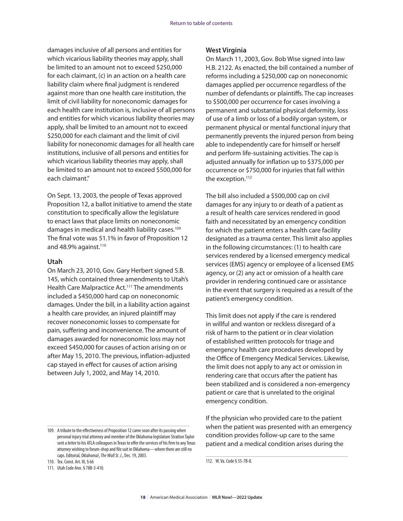damages inclusive of all persons and entities for which vicarious liability theories may apply, shall be limited to an amount not to exceed \$250,000 for each claimant, (c) in an action on a health care liability claim where final judgment is rendered against more than one health care institution, the limit of civil liability for noneconomic damages for each health care institution is, inclusive of all persons and entities for which vicarious liability theories may apply, shall be limited to an amount not to exceed \$250,000 for each claimant and the limit of civil liability for noneconomic damages for all health care institutions, inclusive of all persons and entities for which vicarious liability theories may apply, shall be limited to an amount not to exceed \$500,000 for each claimant."

On Sept. 13, 2003, the people of Texas approved Proposition 12, a ballot initiative to amend the state constitution to specifically allow the legislature to enact laws that place limits on noneconomic damages in medical and health liability cases.<sup>109</sup> The final vote was 51.1% in favor of Proposition 12 and 48.9% against. $110$ 

#### **Utah**

On March 23, 2010, Gov. Gary Herbert signed S.B. 145, which contained three amendments to Utah's Health Care Malpractice Act.<sup>111</sup> The amendments included a \$450,000 hard cap on noneconomic damages. Under the bill, in a liability action against a health care provider, an injured plaintiff may recover noneconomic losses to compensate for pain, suffering and inconvenience. The amount of damages awarded for noneconomic loss may not exceed \$450,000 for causes of action arising on or after May 15, 2010. The previous, inflation-adjusted cap stayed in effect for causes of action arising between July 1, 2002, and May 14, 2010.

110. Tex. Const. Art. III, § 66

111. Utah Code Ann. § 78B-3-410.

#### **West Virginia**

On March 11, 2003, Gov. Bob Wise signed into law H.B. 2122. As enacted, the bill contained a number of reforms including a \$250,000 cap on noneconomic damages applied per occurrence regardless of the number of defendants or plaintiffs. The cap increases to \$500,000 per occurrence for cases involving a permanent and substantial physical deformity, loss of use of a limb or loss of a bodily organ system, or permanent physical or mental functional injury that permanently prevents the injured person from being able to independently care for himself or herself and perform life-sustaining activities. The cap is adjusted annually for inflation up to \$375,000 per occurrence or \$750,000 for injuries that fall within the exception.<sup>112</sup>

The bill also included a \$500,000 cap on civil damages for any injury to or death of a patient as a result of health care services rendered in good faith and necessitated by an emergency condition for which the patient enters a health care facility designated as a trauma center. This limit also applies in the following circumstances: (1) to health care services rendered by a licensed emergency medical services (EMS) agency or employee of a licensed EMS agency, or (2) any act or omission of a health care provider in rendering continued care or assistance in the event that surgery is required as a result of the patient's emergency condition.

This limit does not apply if the care is rendered in willful and wanton or reckless disregard of a risk of harm to the patient or in clear violation of established written protocols for triage and emergency health care procedures developed by the Office of Emergency Medical Services. Likewise, the limit does not apply to any act or omission in rendering care that occurs after the patient has been stabilized and is considered a non-emergency patient or care that is unrelated to the original emergency condition.

If the physician who provided care to the patient when the patient was presented with an emergency condition provides follow-up care to the same patient and a medical condition arises during the

<sup>109.</sup> A tribute to the effectiveness of Proposition 12 came soon after its passing when personal injury trial attorney and member of the Oklahoma legislature Stratton Taylor sent a letter to his ATLA colleagues in Texas to offer the services of his firm to any Texas attorney wishing to forum-shop and file suit in Oklahoma—where there are still no caps. Editorial, Oklahoma!, *The Wall St. J*., Dec. 19, 2003.

<sup>112.</sup> W. Va. Code § 55-7B-8.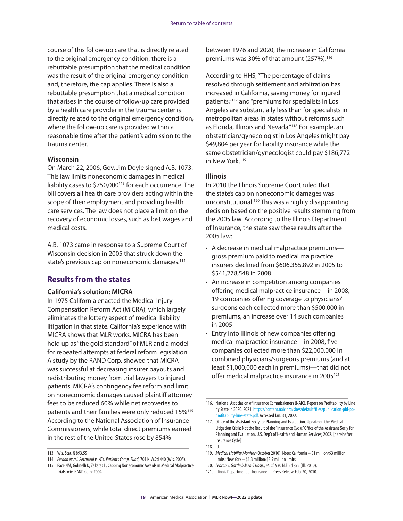course of this follow-up care that is directly related to the original emergency condition, there is a rebuttable presumption that the medical condition was the result of the original emergency condition and, therefore, the cap applies. There is also a rebuttable presumption that a medical condition that arises in the course of follow-up care provided by a health care provider in the trauma center is directly related to the original emergency condition, where the follow-up care is provided within a reasonable time after the patient's admission to the trauma center.

#### **Wisconsin**

On March 22, 2006, Gov. Jim Doyle signed A.B. 1073. This law limits noneconomic damages in medical liability cases to \$750,000113 for each occurrence. The bill covers all health care providers acting within the scope of their employment and providing health care services. The law does not place a limit on the recovery of economic losses, such as lost wages and medical costs.

A.B. 1073 came in response to a Supreme Court of Wisconsin decision in 2005 that struck down the state's previous cap on noneconomic damages.<sup>114</sup>

#### **Results from the states**

#### **California's solution: MICRA**

In 1975 California enacted the Medical Injury Compensation Reform Act (MICRA), which largely eliminates the lottery aspect of medical liability litigation in that state. California's experience with MICRA shows that MLR works. MICRA has been held up as "the gold standard" of MLR and a model for repeated attempts at federal reform legislation. A study by the RAND Corp. showed that MICRA was successful at decreasing insurer payouts and redistributing money from trial lawyers to injured patients. MICRA's contingency fee reform and limit on noneconomic damages caused plaintiff attorney fees to be reduced 60% while net recoveries to patients and their families were only reduced 15%115 According to the National Association of Insurance Commissioners, while total direct premiums earned in the rest of the United States rose by 854%

between 1976 and 2020, the increase in California premiums was 30% of that amount (257%).116

According to HHS, "The percentage of claims resolved through settlement and arbitration has increased in California, saving money for injured patients,"117 and "premiums for specialists in Los Angeles are substantially less than for specialists in metropolitan areas in states without reforms such as Florida, Illinois and Nevada."118 For example, an obstetrician/gynecologist in Los Angeles might pay \$49,804 per year for liability insurance while the same obstetrician/gynecologist could pay \$186,772 in New York.<sup>119</sup>

#### **Illinois**

In 2010 the Illinois Supreme Court ruled that the state's cap on noneconomic damages was unconstitutional.120 This was a highly disappointing decision based on the positive results stemming from the 2005 law. According to the Illinois Department of Insurance, the state saw these results after the 2005 law:

- A decrease in medical malpractice premiums gross premium paid to medical malpractice insurers declined from \$606,355,892 in 2005 to \$541,278,548 in 2008
- An increase in competition among companies offering medical malpractice insurance—in 2008, 19 companies offering coverage to physicians/ surgeons each collected more than \$500,000 in premiums, an increase over 14 such companies in 2005
- Entry into Illinois of new companies offering medical malpractice insurance—in 2008, five companies collected more than \$22,000,000 in combined physicians/surgeons premiums (and at least \$1,000,000 each in premiums)—that did not offer medical malpractice insurance in 2005<sup>121</sup>

<sup>113.</sup> Wis. Stat, § 893.55

<sup>114.</sup> *Ferdon ex rel. Petrucelli v. Wis. Patients Comp. Fund*, 701 N.W.2d 440 (Wis. 2005).

<sup>115.</sup> Pace NM, Golinelli D, Zakaras L. Capping Noneconomic Awards in Medical Malpractice Trials xxiv. RAND Corp: 2004.

<sup>116.</sup> National Association of Insurance Commissioners (NAIC). Report on Profitability by Line by State in 2020. 2021. [https://content.naic.org/sites/default/files/publication-pbl-pb](https://content.naic.org/sites/default/files/publication-pbl-pb-profitability-line-state.pdf)[profitability-line-state.pdf.](https://content.naic.org/sites/default/files/publication-pbl-pb-profitability-line-state.pdf) Accessed Jan. 31, 2022.

<sup>117.</sup> Office of the Assistant Sec'y for Planning and Evaluation. Update on the Medical Litigation Crisis: Not the Result of the "Insurance Cycle." Office of the Assistant Sec'y for Planning and Evaluation, U.S. Dep't of Health and Human Services; 2002. [hereinafter Insurance Cycle]

<sup>118.</sup> Id.

<sup>119.</sup> *Medical Liability Monitor* (October 2010). Note: California – \$1 million/\$3 million limits; New York – \$1.3 million/\$3.9 million limits.

<sup>120.</sup> *Lebron v. Gottlieb Mem'l Hosp*., *et. al*. 930 N.E.2d 895 (Ill. 2010).

<sup>121.</sup> Illinois Department of Insurance—Press Release Feb. 20, 2010.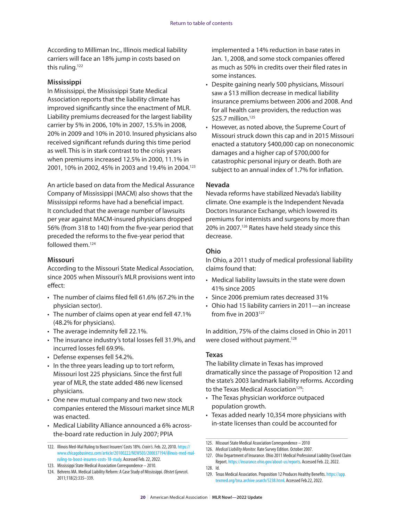According to Milliman Inc., Illinois medical liability carriers will face an 18% jump in costs based on this ruling.<sup>122</sup>

#### **Mississippi**

In Mississippi, the Mississippi State Medical Association reports that the liability climate has improved significantly since the enactment of MLR. Liability premiums decreased for the largest liability carrier by 5% in 2006, 10% in 2007, 15.5% in 2008, 20% in 2009 and 10% in 2010. Insured physicians also received significant refunds during this time period as well. This is in stark contrast to the crisis years when premiums increased 12.5% in 2000, 11.1% in 2001, 10% in 2002, 45% in 2003 and 19.4% in 2004.<sup>123</sup>

An article based on data from the Medical Assurance Company of Mississippi (MACM) also shows that the Mississippi reforms have had a beneficial impact. It concluded that the average number of lawsuits per year against MACM-insured physicians dropped 56% (from 318 to 140) from the five-year period that preceded the reforms to the five-year period that followed them.124

#### **Missouri**

According to the Missouri State Medical Association, since 2005 when Missouri's MLR provisions went into effect:

- The number of claims filed fell 61.6% (67.2% in the physician sector).
- The number of claims open at year end fell 47.1% (48.2% for physicians).
- The average indemnity fell 22.1%.
- The insurance industry's total losses fell 31.9%, and incurred losses fell 69.9%.
- Defense expenses fell 54.2%.
- In the three years leading up to tort reform, Missouri lost 225 physicians. Since the first full year of MLR, the state added 486 new licensed physicians.
- One new mutual company and two new stock companies entered the Missouri market since MLR was enacted.
- Medical Liability Alliance announced a 6% acrossthe-board rate reduction in July 2007; PPIA

implemented a 14% reduction in base rates in Jan. 1, 2008, and some stock companies offered as much as 50% in credits over their filed rates in some instances.

- Despite gaining nearly 500 physicians, Missouri saw a \$13 million decrease in medical liability insurance premiums between 2006 and 2008. And for all health care providers, the reduction was  $$25.7$  million.<sup>125</sup>
- However, as noted above, the Supreme Court of Missouri struck down this cap and in 2015 Missouri enacted a statutory \$400,000 cap on noneconomic damages and a higher cap of \$700,000 for catastrophic personal injury or death. Both are subject to an annual index of 1.7% for inflation.

#### **Nevada**

Nevada reforms have stabilized Nevada's liability climate. One example is the Independent Nevada Doctors Insurance Exchange, which lowered its premiums for internists and surgeons by more than 20% in 2007.126 Rates have held steady since this decrease.

#### **Ohio**

In Ohio, a 2011 study of medical professional liability claims found that:

- Medical liability lawsuits in the state were down 41% since 2005
- Since 2006 premium rates decreased 31%
- Ohio had 15 liability carriers in 2011—an increase from five in  $2003^{127}$

In addition, 75% of the claims closed in Ohio in 2011 were closed without payment.<sup>128</sup>

#### **Texas**

The liability climate in Texas has improved dramatically since the passage of Proposition 12 and the state's 2003 landmark liability reforms. According to the Texas Medical Association<sup>129</sup>:

- The Texas physician workforce outpaced population growth.
- Texas added nearly 10,354 more physicians with in-state licenses than could be accounted for

129. Texas Medical Association. Proposition 12 Produces Healthy Benefits. [https://app.](https://app.texmed.org/tma.archive.search/5238.html) [texmed.org/tma.archive.search/5238.html.](https://app.texmed.org/tma.archive.search/5238.html) Accessed Feb.22, 2022.

<sup>122.</sup> Illinois Med-Mal Ruling to Boost Insurers' Costs 18%. *Crain's*. Feb. 22, 2010. [https://](https://www.chicagobusiness.com/article/20100222/NEWS03/200037194/illinois-med-mal-ruling-to-boost-insurers-costs-18-study) [www.chicagobusiness.com/article/20100222/NEWS03/200037194/illinois-med-mal](https://www.chicagobusiness.com/article/20100222/NEWS03/200037194/illinois-med-mal-ruling-to-boost-insurers-costs-18-study)[ruling-to-boost-insurers-costs-18-study.](https://www.chicagobusiness.com/article/20100222/NEWS03/200037194/illinois-med-mal-ruling-to-boost-insurers-costs-18-study) Accessed Feb. 22, 2022.

<sup>123.</sup> Mississippi State Medical Association Correspondence – 2010.

<sup>124.</sup> Behrens MA. Medical Liability Reform: A Case Study of Mississippi. *Obstet Gyneco*l. 2011;118(2):335–339.

<sup>125.</sup> Missouri State Medical Association Correspondence – 2010

<sup>126.</sup> *Medical Liability Monitor*. Rate Survey Edition. October 2007.

<sup>127.</sup> Ohio Department of Insurance. Ohio 2011 Medical Professional Liability Closed Claim Report.<https://insurance.ohio.gov/about-us/reports>. Accessed Feb. 22, 2022.

<sup>128.</sup> Id.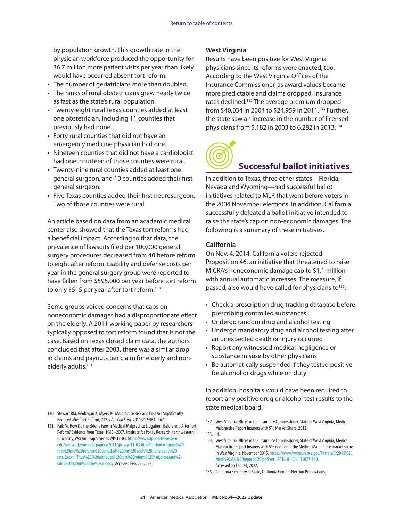<span id="page-22-0"></span>by population growth. This growth rate in the physician workforce produced the opportunity for 36.7 million more patient visits per year than likely would have occurred absent tort reform.

- The number of geriatricians more than doubled.
- The ranks of rural obstetricians grew nearly twice as fast as the state's rural population.
- Twenty-eight rural Texas counties added at least one obstetrician, including 11 counties that previously had none.
- Forty rural counties that did not have an emergency medicine physician had one.
- Nineteen counties that did not have a cardiologist had one. Fourteen of those counties were rural.
- Twenty-nine rural counties added at least one general surgeon, and 10 counties added their first general surgeon.
- Five Texas counties added their first neurosurgeon. Two of those counties were rural.

An article based on data from an academic medical center also showed that the Texas tort reforms had a beneficial impact. According to that data, the prevalence of lawsuits filed per 100,000 general surgery procedures decreased from 40 before reform to eight after reform. Liability and defense costs per year in the general surgery group were reported to have fallen from \$595,000 per year before tort reform to only \$515 per year after tort reform.<sup>130</sup>

Some groups voiced concerns that caps on noneconomic damages had a disproportionate effect on the elderly. A 2011 working paper by researchers typically opposed to tort reform found that is not the case. Based on Texas closed claim data, the authors concluded that after 2003, there was a similar drop in claims and payouts per claim for elderly and nonelderly adults.<sup>131</sup>

#### 130. Stewart RM, Geohegan K, Myers JG. Malpractice Risk and Cost Are Significantly Reduced after Tort Reform, 212. *J Am Coll Surg*. 2011;212:463–467.

#### **West Virginia**

Results have been positive for West Virginia physicians since its reforms were enacted, too. According to the West Virginia Offices of the Insurance Commissioner, as award values became more predictable and claims dropped, insurance rates declined.<sup>132</sup> The average premium dropped from \$40,034 in 2004 to \$24,959 in 2011.<sup>133</sup> Further, the state saw an increase in the number of licensed physicians from 5,182 in 2003 to 6,282 in 2013.134



# **Successful ballot initiatives**

In addition to Texas, three other states—Florida, Nevada and Wyoming—had successful ballot initiatives related to MLR that went before voters in the 2004 November elections. In addition, California successfully defeated a ballot initiative intended to raise the state's cap on non-economic damages. The following is a summary of these initiatives.

#### **California**

On Nov. 4, 2014, California voters rejected Proposition 46, an initiative that threatened to raise MICRA's noneconomic damage cap to \$1.1 million with annual automatic increases. The measure, if passed, also would have called for physicians to<sup>135</sup>:

- Check a prescription drug tracking database before prescribing controlled substances
- Undergo random drug and alcohol testing
- Undergo mandatory drug and alcohol testing after an unexpected death or injury occurred
- Report any witnessed medical negligence or substance misuse by other physicians
- Be automatically suspended if they tested positive for alcohol or drugs while on duty

In addition, hospitals would have been required to report any positive drug or alcohol test results to the state medical board.

<sup>131.</sup> Paik M. How Do the Elderly Fare in Medical Malpractice Litigation, Before and After Tort Reform? Evidence from Texas, 1988–2007. Institute for Policy Research Northwestern University, Working Paper Series WP-11-03. [https://www.ipr.northwestern.](https://www.ipr.northwestern.edu/our-work/working-papers/2011/ipr-wp-11-03.html#:~:text=During%20the%20pre%2Dreform%20period,of%20the%20adult%20nonelderly%20rate.&text=Thus%2C%20although%20tort%20reform%20had,disparate%20impact%20on%20the%20elderly) [edu/our-work/working-papers/2011/ipr-wp-11-03.html#:~:text=During%20](https://www.ipr.northwestern.edu/our-work/working-papers/2011/ipr-wp-11-03.html#:~:text=During%20the%20pre%2Dreform%20period,of%20the%20adult%20nonelderly%20rate.&text=Thus%2C%20although%20tort%20reform%20had,disparate%20impact%20on%20the%20elderly) [the%20pre%2Dreform%20period,of%20the%20adult%20nonelderly%20](https://www.ipr.northwestern.edu/our-work/working-papers/2011/ipr-wp-11-03.html#:~:text=During%20the%20pre%2Dreform%20period,of%20the%20adult%20nonelderly%20rate.&text=Thus%2C%20although%20tort%20reform%20had,disparate%20impact%20on%20the%20elderly) [rate.&text=Thus%2C%20although%20tort%20reform%20had,disparate%2-](https://www.ipr.northwestern.edu/our-work/working-papers/2011/ipr-wp-11-03.html#:~:text=During%20the%20pre%2Dreform%20period,of%20the%20adult%20nonelderly%20rate.&text=Thus%2C%20although%20tort%20reform%20had,disparate%20impact%20on%20the%20elderly) [0impact%20on%20the%20elderly](https://www.ipr.northwestern.edu/our-work/working-papers/2011/ipr-wp-11-03.html#:~:text=During%20the%20pre%2Dreform%20period,of%20the%20adult%20nonelderly%20rate.&text=Thus%2C%20although%20tort%20reform%20had,disparate%20impact%20on%20the%20elderly). Accessed Feb. 22, 2022.

<sup>132.</sup> West Virginia Offices of the Insurance Commissioner. State of West Virginia, Medical Malpractice Report Insurers with 5% Market Share. 2012.

<sup>133.</sup> Id.

<sup>134.</sup> West Virginia Offices of the Insurance Commissioner, State of West Virginia, Medical Malpractice Report Insurers with 5% or more of the Medical Malpractice market share in West Virginia. November 2015. [https://www.wvinsurance.gov/Portals/0/2015%20](https://www.wvinsurance.gov/Portals/0/2015%20Med%20Mal%20report%20.pdf?ver=2016-01-26-131027-940) [Med%20Mal%20report%20.pdf?ver=2016-01-26-131027-940.](https://www.wvinsurance.gov/Portals/0/2015%20Med%20Mal%20report%20.pdf?ver=2016-01-26-131027-940) Accessed on Feb. 24, 2022.

<sup>135.</sup> California Secretary of State, California General Election Propositions.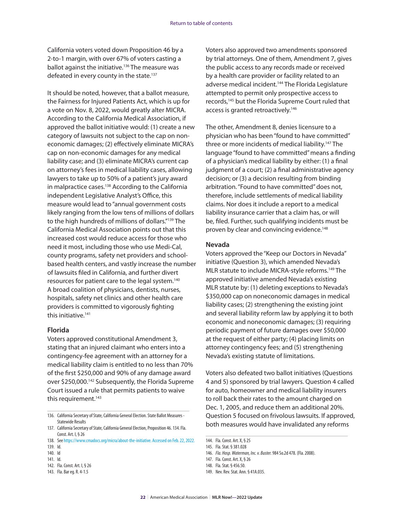California voters voted down Proposition 46 by a 2-to-1 margin, with over 67% of voters casting a ballot against the initiative.<sup>136</sup> The measure was defeated in every county in the state.<sup>137</sup>

It should be noted, however, that a ballot measure, the Fairness for Injured Patients Act, which is up for a vote on Nov. 8, 2022, would greatly alter MICRA. According to the California Medical Association, if approved the ballot initiative would: (1) create a new category of lawsuits not subject to the cap on noneconomic damages; (2) effectively eliminate MICRA's cap on non-economic damages for any medical liability case; and (3) eliminate MICRA's current cap on attorney's fees in medical liability cases, allowing lawyers to take up to 50% of a patient's jury award in malpractice cases.<sup>138</sup> According to the California independent Legislative Analyst's Office, this measure would lead to "annual government costs likely ranging from the low tens of millions of dollars to the high hundreds of millions of dollars."139 The California Medical Association points out that this increased cost would reduce access for those who need it most, including those who use Medi-Cal, county programs, safety net providers and schoolbased health centers, and vastly increase the number of lawsuits filed in California, and further divert resources for patient care to the legal system.140 A broad coalition of physicians, dentists, nurses, hospitals, safety net clinics and other health care providers is committed to vigorously fighting this initiative.<sup>141</sup>

#### **Florida**

Voters approved constitutional Amendment 3, stating that an injured claimant who enters into a contingency-fee agreement with an attorney for a medical liability claim is entitled to no less than 70% of the first \$250,000 and 90% of any damage award over \$250,000.142 Subsequently, the Florida Supreme Court issued a rule that permits patients to waive this requirement.<sup>143</sup>

Voters also approved two amendments sponsored by trial attorneys. One of them, Amendment 7, gives the public access to any records made or received by a health care provider or facility related to an adverse medical incident.<sup>144</sup> The Florida Legislature attempted to permit only prospective access to records,<sup>145</sup> but the Florida Supreme Court ruled that access is granted retroactively.<sup>146</sup>

The other, Amendment 8, denies licensure to a physician who has been "found to have committed" three or more incidents of medical liability.<sup>147</sup> The language "found to have committed" means a finding of a physician's medical liability by either: (1) a final judgment of a court; (2) a final administrative agency decision; or (3) a decision resulting from binding arbitration. "Found to have committed" does not, therefore, include settlements of medical liability claims. Nor does it include a report to a medical liability insurance carrier that a claim has, or will be, filed. Further, such qualifying incidents must be proven by clear and convincing evidence.<sup>148</sup>

#### **Nevada**

Voters approved the "Keep our Doctors in Nevada" initiative (Question 3), which amended Nevada's MLR statute to include MICRA-style reforms.149 The approved initiative amended Nevada's existing MLR statute by: (1) deleting exceptions to Nevada's \$350,000 cap on noneconomic damages in medical liability cases; (2) strengthening the existing joint and several liability reform law by applying it to both economic and noneconomic damages; (3) requiring periodic payment of future damages over \$50,000 at the request of either party; (4) placing limits on attorney contingency fees; and (5) strengthening Nevada's existing statute of limitations.

Voters also defeated two ballot initiatives (Questions 4 and 5) sponsored by trial lawyers. Question 4 called for auto, homeowner and medical liability insurers to roll back their rates to the amount charged on Dec. 1, 2005, and reduce them an additional 20%. Question 5 focused on frivolous lawsuits. If approved, both measures would have invalidated any reforms

147. Fla. Const. Art. X, § 26

<sup>136.</sup> California Secretary of State, California General Election. State Ballot Measures - Statewide Results

<sup>137.</sup> California Secretary of State, California General Election, Proposition 46. 134. Fla. Const. Art. I, § 26

<sup>138.</sup> See [https://www.cmadocs.org/micra/about-the-initiative.](https://www.cmadocs.org/micra/about-the-initiative) Accessed on Feb. 22, 2022.

<sup>139.</sup> Id. 140. Id

<sup>141.</sup> Id.

<sup>142.</sup> Fla. Const. Art. I, § 26

<sup>143.</sup> Fla. Bar eg. R. 4-1.5

<sup>144.</sup> Fla. Const. Art. X, § 25

<sup>145.</sup> Fla. Stat. § 381.028

<sup>146.</sup> *Fla. Hosp. Waterman, Inc. v. Buster*. 984 So.2d 478. (Fla. 2008).

<sup>148.</sup> Fla. Stat. § 456.50.

<sup>149.</sup> Nev. Rev. Stat. Ann. § 41A.035.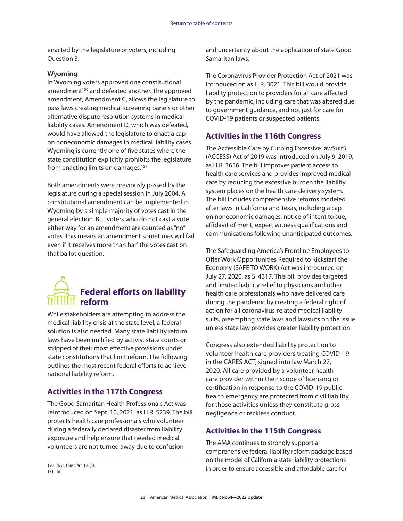<span id="page-24-0"></span>enacted by the legislature or voters, including Question 3.

#### **Wyoming**

In Wyoming voters approved one constitutional amendment<sup>150</sup> and defeated another. The approved amendment, Amendment C, allows the legislature to pass laws creating medical screening panels or other alternative dispute resolution systems in medical liability cases. Amendment D, which was defeated, would have allowed the legislature to enact a cap on noneconomic damages in medical liability cases. Wyoming is currently one of five states where the state constitution explicitly prohibits the legislature from enacting limits on damages.151

Both amendments were previously passed by the legislature during a special session in July 2004. A constitutional amendment can be implemented in Wyoming by a simple majority of votes cast in the general election. But voters who do not cast a vote either way for an amendment are counted as "no" votes. This means an amendment sometimes will fail even if it receives more than half the votes cast on that ballot question.



While stakeholders are attempting to address the medical liability crisis at the state level, a federal solution is also needed. Many state liability reform laws have been nullified by activist state courts or stripped of their most effective provisions under state constitutions that limit reform. The following outlines the most recent federal efforts to achieve national liability reform.

#### **Activities in the 117th Congress**

The Good Samaritan Health Professionals Act was reintroduced on Sept. 10, 2021, as H.R. 5239. The bill protects health care professionals who volunteer during a federally declared disaster from liability exposure and help ensure that needed medical volunteers are not turned away due to confusion

150. Wyo. Const. Art. 10, § 4. 151. Id.

and uncertainty about the application of state Good Samaritan laws.

The Coronavirus Provider Protection Act of 2021 was introduced on as H.R. 3021. This bill would provide liability protection to providers for all care affected by the pandemic, including care that was altered due to government guidance, and not just for care for COVID-19 patients or suspected patients.

#### **Activities in the 116th Congress**

The Accessible Care by Curbing Excessive lawSuitS (ACCESS) Act of 2019 was introduced on July 9, 2019, as H.R. 3656. The bill improves patient access to health care services and provides improved medical care by reducing the excessive burden the liability system places on the health care delivery system. The bill includes comprehensive reforms modeled after laws in California and Texas, including a cap on noneconomic damages, notice of intent to sue, affidavit of merit, expert witness qualifications and communications following unanticipated outcomes.

The Safeguarding America's Frontline Employees to Offer Work Opportunities Required to Kickstart the Economy (SAFE TO WORK) Act was introduced on July 27, 2020, as S. 4317. This bill provides targeted and limited liability relief to physicians and other health care professionals who have delivered care during the pandemic by creating a federal right of action for all coronavirus-related medical liability suits, preempting state laws and lawsuits on the issue unless state law provides greater liability protection.

Congress also extended liability protection to volunteer health care providers treating COVID-19 in the CARES ACT, signed into law March 27, 2020. All care provided by a volunteer health care provider within their scope of licensing or certification in response to the COVID-19 public health emergency are protected from civil liability for those activities unless they constitute gross negligence or reckless conduct.

#### **Activities in the 115th Congress**

The AMA continues to strongly support a comprehensive federal liability reform package based on the model of California state liability protections in order to ensure accessible and affordable care for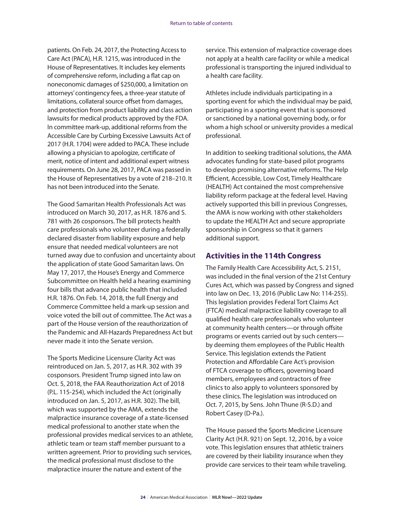patients. On Feb. 24, 2017, the Protecting Access to Care Act (PACA), H.R. 1215, was introduced in the House of Representatives. It includes key elements of comprehensive reform, including a flat cap on noneconomic damages of \$250,000, a limitation on attorneys' contingency fees, a three-year statute of limitations, collateral source offset from damages, and protection from product liability and class action lawsuits for medical products approved by the FDA. In committee mark-up, additional reforms from the Accessible Care by Curbing Excessive Lawsuits Act of 2017 (H.R. 1704) were added to PACA. These include allowing a physician to apologize, certificate of merit, notice of intent and additional expert witness requirements. On June 28, 2017, PACA was passed in the House of Representatives by a vote of 218–210. It has not been introduced into the Senate.

The Good Samaritan Health Professionals Act was introduced on March 30, 2017, as H.R. 1876 and S. 781 with 26 cosponsors. The bill protects health care professionals who volunteer during a federally declared disaster from liability exposure and help ensure that needed medical volunteers are not turned away due to confusion and uncertainty about the application of state Good Samaritan laws. On May 17, 2017, the House's Energy and Commerce Subcommittee on Health held a hearing examining four bills that advance public health that included H.R. 1876. On Feb. 14, 2018, the full Energy and Commerce Committee held a mark-up session and voice voted the bill out of committee. The Act was a part of the House version of the reauthorization of the Pandemic and All-Hazards Preparedness Act but never made it into the Senate version.

The Sports Medicine Licensure Clarity Act was reintroduced on Jan. 5, 2017, as H.R. 302 with 39 cosponsors. President Trump signed into law on Oct. 5, 2018, the FAA Reauthorization Act of 2018 (P.L. 115-254), which included the Act (originally introduced on Jan. 5, 2017, as H.R. 302). The bill, which was supported by the AMA, extends the malpractice insurance coverage of a state-licensed medical professional to another state when the professional provides medical services to an athlete, athletic team or team staff member pursuant to a written agreement. Prior to providing such services, the medical professional must disclose to the malpractice insurer the nature and extent of the

service. This extension of malpractice coverage does not apply at a health care facility or while a medical professional is transporting the injured individual to a health care facility.

Athletes include individuals participating in a sporting event for which the individual may be paid, participating in a sporting event that is sponsored or sanctioned by a national governing body, or for whom a high school or university provides a medical professional.

In addition to seeking traditional solutions, the AMA advocates funding for state-based pilot programs to develop promising alternative reforms. The Help Efficient, Accessible, Low Cost, Timely Healthcare (HEALTH) Act contained the most comprehensive liability reform package at the federal level. Having actively supported this bill in previous Congresses, the AMA is now working with other stakeholders to update the HEALTH Act and secure appropriate sponsorship in Congress so that it garners additional support.

#### **Activities in the 114th Congress**

The Family Health Care Accessibility Act, S. 2151, was included in the final version of the 21st Century Cures Act, which was passed by Congress and signed into law on Dec. 13, 2016 (Public Law No: 114-255). This legislation provides Federal Tort Claims Act (FTCA) medical malpractice liability coverage to all qualified health care professionals who volunteer at community health centers—or through offsite programs or events carried out by such centers by deeming them employees of the Public Health Service. This legislation extends the Patient Protection and Affordable Care Act's provision of FTCA coverage to officers, governing board members, employees and contractors of free clinics to also apply to volunteers sponsored by these clinics. The legislation was introduced on Oct. 7, 2015, by Sens. John Thune (R-S.D.) and Robert Casey (D-Pa.).

The House passed the Sports Medicine Licensure Clarity Act (H.R. 921) on Sept. 12, 2016, by a voice vote. This legislation ensures that athletic trainers are covered by their liability insurance when they provide care services to their team while traveling.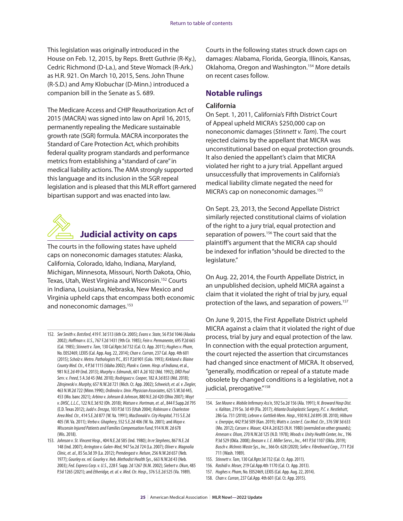<span id="page-26-0"></span>This legislation was originally introduced in the House on Feb. 12, 2015, by Reps. Brett Guthrie (R-Ky.), Cedric Richmond (D-La.), and Steve Womack (R-Ark.) as H.R. 921. On March 10, 2015, Sens. John Thune (R-S.D.) and Amy Klobuchar (D-Minn.) introduced a companion bill in the Senate as S. 689.

The Medicare Access and CHIP Reauthorization Act of 2015 (MACRA) was signed into law on April 16, 2015, permanently repealing the Medicare sustainable growth rate (SGR) formula. MACRA incorporates the Standard of Care Protection Act, which prohibits federal quality program standards and performance metrics from establishing a "standard of care" in medical liability actions. The AMA strongly supported this language and its inclusion in the SGR repeal legislation and is pleased that this MLR effort garnered bipartisan support and was enacted into law.



## **Judicial activity on caps**

The courts in the following states have upheld caps on noneconomic damages statutes: Alaska, California, Colorado, Idaho, Indiana, Maryland, Michigan, Minnesota, Missouri, North Dakota, Ohio, Texas, Utah, West Virginia and Wisconsin.152 Courts in Indiana, Louisiana, Nebraska, New Mexico and Virginia upheld caps that encompass both economic and noneconomic damages.153

Courts in the following states struck down caps on damages: Alabama, Florida, Georgia, Illinois, Kansas, Oklahoma, Oregon and Washington.154 More details on recent cases follow.

#### **Notable rulings**

#### **California**

On Sept. 1, 2011, California's Fifth District Court of Appeal upheld MICRA's \$250,000 cap on noneconomic damages (*Stinnett v. Tam*). The court rejected claims by the appellant that MICRA was unconstitutional based on equal protection grounds. It also denied the appellant's claim that MICRA violated her right to a jury trial. Appellant argued unsuccessfully that improvements in California's medical liability climate negated the need for MICRA's cap on noneconomic damages.155

On Sept. 23, 2013, the Second Appellate District similarly rejected constitutional claims of violation of the right to a jury trial, equal protection and separation of powers.<sup>156</sup> The court said that the plaintiff's argument that the MICRA cap should be indexed for inflation "should be directed to the legislature."

On Aug. 22, 2014, the Fourth Appellate District, in an unpublished decision, upheld MICRA against a claim that it violated the right of trial by jury, equal protection of the laws, and separation of powers.<sup>157</sup>

On June 9, 2015, the First Appellate District upheld MICRA against a claim that it violated the right of due process, trial by jury and equal protection of the law. In connection with the equal protection argument, the court rejected the assertion that circumstances had changed since enactment of MICRA. It observed, "generally, modification or repeal of a statute made obsolete by changed conditions is a legislative, not a judicial, prerogative."<sup>158</sup>

<sup>152.</sup> *See Smith v. Botsford*, 419 F. 3d 513 (6th Cir. 2005); *Evans v. State*, 56 P.3d 1046 (Alaska 2002); *Hoffman v. U.S*., 767 F.2d 1431 (9th Cir. 1985); *Fein v. Permanente*, 695 P.2d 665 (Cal. 1985); *Stinnett v. Tam*, 130 Cal.Rptr.3d 732 (Cal. Ct. App. 2011); *Hughes v. Pham*, No. E052469, LEXIS (Cal. App. Aug. 22, 2014); *Chan v. Curran*, 237 Cal. App. 4th 601 (2015); *Scholz v. Metro. Pathologists* P.C., 851 P.2d 901 (Colo. 1993); *Kirkland v. Blaine County Med. Ctr.*, 4 P.3d 1115 (Idaho 2002); *Plank v. Comm. Hosp. of Indiana*, et al., 981 N.E.2d 49 (Ind. 2013); *Murphy v. Edmunds*, 601 A.2d 102 (Md. 1992); *DRD Pool Serv. v. Freed*, 5 A.3d 45 (Md. 2010); *Rodriguez v. Cooper*, 182 A.3d 853 (Md. 2018); *Zdrojewski v. Murphy*, 657 N.W.2d 721 (Mich. Ct. App. 2002); *Schweich, et. al. v. Ziegler*, 463 N.W.2d 722 (Minn.1990); *Ordinola v. Univ. Physician Associates*, 625 S.W.3d 445, 453 (Mo. banc 2021); *Arbino v. Johnson & Johnson*, 880 N.E.2d 420 (Ohio 2007); *Wayt v. DHSC, L.L.C.*, 122 N.E.3d 92 (Oh. 2018); *Watson v. Hortman, et. al*., 844 F.Supp.2d 795 (E.D. Texas 2012); *Judd v. Drezga*, 103 P.3d 135 (Utah 2004); *Robinson v. Charleston Area Med. Ctr.*, 414 S.E.2d 877 (W. Va. 1991); *MacDonald v. City Hospital*, 715 S.E.2d 405 (W. Va. 2011); *Verba v. Ghaphery*, 552 S.E.2d 406 (W. Va. 2001); and *Mayo v*. *Wisconsin Injured Patients and Families Compensation Fund*, 914 N.W. 2d 678 (Wis. 2018).

<sup>153.</sup> *Johnson v. St. Vincent Hosp*., 404 N.E.2d 585 (Ind. 1980); *In re Stephens*, 867 N.E.2d 148 (Ind. 2007); *Arrington v. Galen-Med*, 947 So.2d 724 (La. 2007); *Oliver v. Magnolia Clinic, et. al*., 85 So.3d 39 (La. 2012); *Prendergast v. Nelson*, 256 N.W.2d 657 (Neb. 1977); *Gourley ex. rel. Gourley v. Neb. Methodist Health Sys*., 663 N.W.2d 43 (Neb. 2003); *Fed. Express Corp. v. U.S*., 228 F. Supp. 2d 1267 (N.M. 2002); *Siebert v. Okun*, 485 P.3d 1265 (2021); and *Etheridge, et. al. v. Med. Ctr. Hosp*., 376 S.E.2d 525 (Va. 1989).

<sup>154.</sup> *See Moore v. Mobile Infirmary Ass'n*, 592 So.2d 156 (Ala. 1991); *N. Broward Hosp Dist. v. Kalitan*, 219 So. 3d 49 (Fla. 2017); *Atlanta Oculoplastic Surgery, P.C. v. Nestlehutt*, 286 Ga. 731 (2010); *Lebron v. Gottlieb Mem. Hosp*., 930 N.E.2d 895 (Ill. 2010); *Hilburn v. Enerpipe*, 442 P.3d 509 (Kan. 2019); *Watts v. Lester E. Cox Med. Ctr*., 376 SW 3d 633 (Mo. 2012); *Carson v. Mauer,* 424 A.2d 825 (N.H. 1980) (overruled on other grounds); *Arneson v. Olson,* 270 N.W.2d 125 (N.D. 1978); *Woods v. Unity Health Center, Inc*., 196 P.3d 529 (Okla. 2008); *Beason v. I. E. Miller Servs., Inc.*, 441 P.3d 1107 (Okla. 2019); *Busch v. McInnis Waste Sys., Inc.*, 366 Or. 628 (2020); *Sofie v. Fibreboard Corp*., 771 P.2d 711 (Wash. 1989).

<sup>155.</sup> *Stinnett v. Tam*, 130 Cal.Rptr.3d 732 (Cal. Ct. App. 2011).

<sup>156.</sup> *Rashidi v. Moser*, 219 Cal.App.4th 1170 (Cal. Ct. App. 2013).

<sup>157.</sup> *Hughes v. Pham*, No. E052469, LEXIS (Cal. App. Aug. 22, 2014).

<sup>158.</sup> *Chan v. Curran*, 237 Cal.App. 4th 601 (Cal. Ct. App. 2015).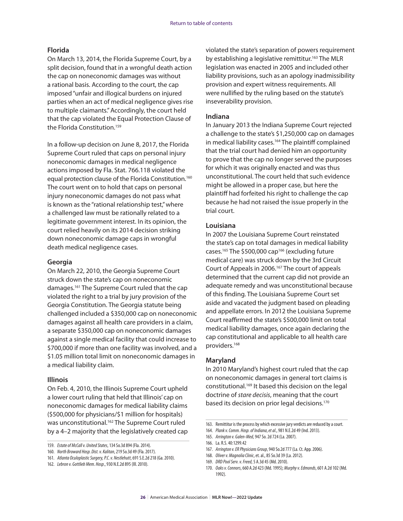#### **Florida**

On March 13, 2014, the Florida Supreme Court, by a split decision, found that in a wrongful death action the cap on noneconomic damages was without a rational basis. According to the court, the cap imposed "unfair and illogical burdens on injured parties when an act of medical negligence gives rise to multiple claimants." Accordingly, the court held that the cap violated the Equal Protection Clause of the Florida Constitution.<sup>159</sup>

In a follow-up decision on June 8, 2017, the Florida Supreme Court ruled that caps on personal injury noneconomic damages in medical negligence actions imposed by Fla. Stat. 766.118 violated the equal protection clause of the Florida Constitution.<sup>160</sup> The court went on to hold that caps on personal injury noneconomic damages do not pass what is known as the "rational relationship test," where a challenged law must be rationally related to a legitimate government interest. In its opinion, the court relied heavily on its 2014 decision striking down noneconomic damage caps in wrongful death medical negligence cases.

#### **Georgia**

On March 22, 2010, the Georgia Supreme Court struck down the state's cap on noneconomic damages.161 The Supreme Court ruled that the cap violated the right to a trial by jury provision of the Georgia Constitution. The Georgia statute being challenged included a \$350,000 cap on noneconomic damages against all health care providers in a claim, a separate \$350,000 cap on noneconomic damages against a single medical facility that could increase to \$700,000 if more than one facility was involved, and a \$1.05 million total limit on noneconomic damages in a medical liability claim.

#### **Illinois**

On Feb. 4, 2010, the Illinois Supreme Court upheld a lower court ruling that held that Illinois' cap on noneconomic damages for medical liability claims (\$500,000 for physicians/\$1 million for hospitals) was unconstitutional.<sup>162</sup> The Supreme Court ruled by a 4–2 majority that the legislatively created cap

violated the state's separation of powers requirement by establishing a legislative remittitur.<sup>163</sup> The MLR legislation was enacted in 2005 and included other liability provisions, such as an apology inadmissibility provision and expert witness requirements. All were nullified by the ruling based on the statute's inseverability provision.

#### **Indiana**

In January 2013 the Indiana Supreme Court rejected a challenge to the state's \$1,250,000 cap on damages in medical liability cases.<sup>164</sup> The plaintiff complained that the trial court had denied him an opportunity to prove that the cap no longer served the purposes for which it was originally enacted and was thus unconstitutional. The court held that such evidence might be allowed in a proper case, but here the plaintiff had forfeited his right to challenge the cap because he had not raised the issue properly in the trial court.

#### **Louisiana**

In 2007 the Louisiana Supreme Court reinstated the state's cap on total damages in medical liability cases.<sup>165</sup> The \$500,000 cap<sup>166</sup> (excluding future medical care) was struck down by the 3rd Circuit Court of Appeals in 2006.167 The court of appeals determined that the current cap did not provide an adequate remedy and was unconstitutional because of this finding. The Louisiana Supreme Court set aside and vacated the judgment based on pleading and appellate errors. In 2012 the Louisiana Supreme Court reaffirmed the state's \$500,000 limit on total medical liability damages, once again declaring the cap constitutional and applicable to all health care providers.168

#### **Maryland**

In 2010 Maryland's highest court ruled that the cap on noneconomic damages in general tort claims is constitutional.169 It based this decision on the legal doctrine of *stare decisis*, meaning that the court based its decision on prior legal decisions.<sup>170</sup>

167. *Arrington v. ER Physicians Group*, 940 So.2d 777 (La. Ct. App. 2006).

<sup>159.</sup> *Estate of McCall v. United States*, 134 So.3d 894 (Fla. 2014).

<sup>160.</sup> *North Broward Hosp. Dist. v. Kalitan*, 219 So.3d 49 (Fla. 2017).

<sup>161.</sup> *Atlanta Oculoplastic Surgery, P.C. v. Nestlehutt*, 691 S.E.2d 218 (Ga. 2010).

<sup>162.</sup> *Lebron v. Gottlieb Mem. Hosp*., 930 N.E.2d 895 (Ill. 2010).

<sup>163.</sup> Remittitur is the process by which excessive jury verdicts are reduced by a court.

<sup>164.</sup> *Plank v. Comm. Hosp. of Indiana*, *et al.*, 981 N.E.2d 49 (Ind. 2013).

<sup>165.</sup> *Arrington v. Galen-Med*, 947 So. 2d 724 (La. 2007).

<sup>166.</sup> La. R.S. 40:1299.42

<sup>168.</sup> *Oliver v. Magnolia Clinic*, et. al., 85 So.3d 39 (La. 2012).

<sup>169.</sup> *DRD Pool Serv. v. Freed*, 5 A.3d 45 (Md. 2010).

<sup>170.</sup> *Oaks v. Connors*, 660 A.2d 423 (Md. 1995); *Murphy v. Edmonds*, 601 A.2d 102 (Md. 1992).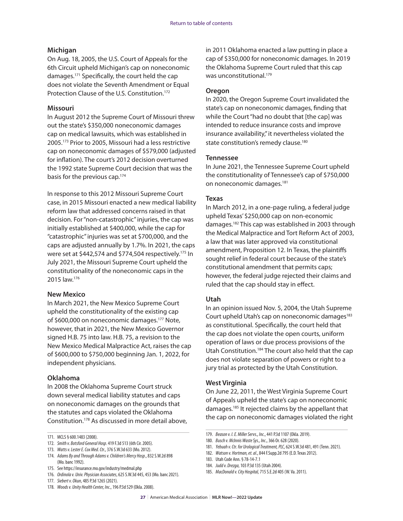#### **Michigan**

On Aug. 18, 2005, the U.S. Court of Appeals for the 6th Circuit upheld Michigan's cap on noneconomic damages.171 Specifically, the court held the cap does not violate the Seventh Amendment or Equal Protection Clause of the U.S. Constitution.<sup>172</sup>

#### **Missouri**

In August 2012 the Supreme Court of Missouri threw out the state's \$350,000 noneconomic damages cap on medical lawsuits, which was established in 2005.173 Prior to 2005, Missouri had a less restrictive cap on noneconomic damages of \$579,000 (adjusted for inflation). The court's 2012 decision overturned the 1992 state Supreme Court decision that was the basis for the previous cap.174

In response to this 2012 Missouri Supreme Court case, in 2015 Missouri enacted a new medical liability reform law that addressed concerns raised in that decision. For "non-catastrophic" injuries, the cap was initially established at \$400,000, while the cap for "catastrophic" injuries was set at \$700,000, and the caps are adjusted annually by 1.7%. In 2021, the caps were set at \$442,574 and \$774,504 respectively.175 In July 2021, the Missouri Supreme Court upheld the constitutionality of the noneconomic caps in the 2015 law.176

#### **New Mexico**

In March 2021, the New Mexico Supreme Court upheld the constitutionality of the existing cap of \$600,000 on noneconomic damages.177 Note, however, that in 2021, the New Mexico Governor signed H.B. 75 into law. H.B. 75, a revision to the New Mexico Medical Malpractice Act, raises the cap of \$600,000 to \$750,000 beginning Jan. 1, 2022, for independent physicians.

#### **Oklahoma**

In 2008 the Oklahoma Supreme Court struck down several medical liability statutes and caps on noneconomic damages on the grounds that the statutes and caps violated the Oklahoma Constitution.178 As discussed in more detail above, in 2011 Oklahoma enacted a law putting in place a cap of \$350,000 for noneconomic damages. In 2019 the Oklahoma Supreme Court ruled that this cap was unconstitutional.<sup>179</sup>

#### **Oregon**

In 2020, the Oregon Supreme Court invalidated the state's cap on noneconomic damages, finding that while the Court "had no doubt that [the cap] was intended to reduce insurance costs and improve insurance availability," it nevertheless violated the state constitution's remedy clause.<sup>180</sup>

#### **Tennessee**

In June 2021, the Tennessee Supreme Court upheld the constitutionality of Tennessee's cap of \$750,000 on noneconomic damages.181

#### **Texas**

In March 2012, in a one-page ruling, a federal judge upheld Texas' \$250,000 cap on non-economic damages.182 This cap was established in 2003 through the Medical Malpractice and Tort Reform Act of 2003, a law that was later approved via constitutional amendment, Proposition 12. In Texas, the plaintiffs sought relief in federal court because of the state's constitutional amendment that permits caps; however, the federal judge rejected their claims and ruled that the cap should stay in effect.

#### **Utah**

In an opinion issued Nov. 5, 2004, the Utah Supreme Court upheld Utah's cap on noneconomic damages<sup>183</sup> as constitutional. Specifically, the court held that the cap does not violate the open courts, uniform operation of laws or due process provisions of the Utah Constitution.<sup>184</sup> The court also held that the cap does not violate separation of powers or right to a jury trial as protected by the Utah Constitution.

#### **West Virginia**

On June 22, 2011, the West Virginia Supreme Court of Appeals upheld the state's cap on noneconomic damages.185 It rejected claims by the appellant that the cap on noneconomic damages violated the right

<sup>171.</sup> MCLS § 600.1483 (2008).

<sup>172.</sup> *Smith v. Botsford General Hosp*. 419 F.3d 513 (6th Cir. 2005).

<sup>173.</sup> *Watts v. Lester E. Cox Med. Ctr.*, 376 S.W.3d 633 (Mo. 2012).

<sup>174.</sup> *Adams By and Through Adams v. Children's Mercy Hosp*., 832 S.W.2d 898 (Mo. banc 1992).

<sup>175.</sup> See https://insurance.mo.gov/industry/medmal.php

<sup>176.</sup> *Ordinola v. Univ. Physician Associates*, 625 S.W.3d 445, 453 (Mo. banc 2021).

<sup>177.</sup> *Siebert v. Okun*, 485 P.3d 1265 (2021).

<sup>178.</sup> *Woods v. Unity Health Center, Inc*., 196 P.3d 529 (Okla. 2008).

<sup>179.</sup> *Beason v. I. E. Miller Servs., Inc*., 441 P.3d 1107 (Okla. 2019).

<sup>180.</sup> *Busch v. McInnis Waste Sys., Inc*., 366 Or. 628 (2020).

<sup>181.</sup> *Yebuah v. Ctr. for Urological Treatment, PLC*, 624 S.W.3d 481, 491 (Tenn. 2021).

<sup>182.</sup> *Watson v. Hortman, et. al*., 844 F.Supp.2d 795 (E.D. Texas 2012).

<sup>183.</sup> Utah Code Ann. § 78-14-7.1

<sup>184.</sup> *Judd v. Drezga*, 103 P.3d 135 (Utah 2004).

<sup>185.</sup> *MacDonald v. City Hospital,* 715 S.E.2d 405 (W. Va. 2011).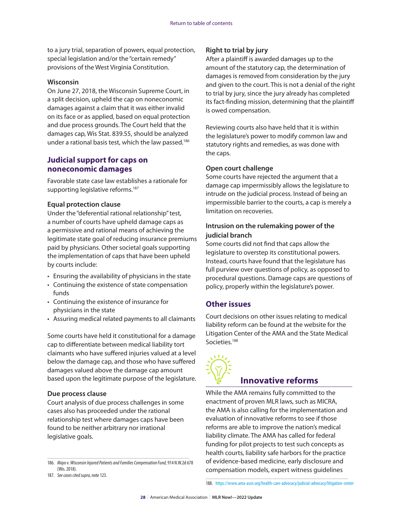to a jury trial, separation of powers, equal protection, special legislation and/or the "certain remedy" provisions of the West Virginia Constitution.

#### **Wisconsin**

On June 27, 2018, the Wisconsin Supreme Court, in a split decision, upheld the cap on noneconomic damages against a claim that it was either invalid on its face or as applied, based on equal protection and due process grounds. The Court held that the damages cap, Wis Stat. 839.55, should be analyzed under a rational basis test, which the law passed.<sup>186</sup>

#### **Judicial support for caps on noneconomic damages**

Favorable state case law establishes a rationale for supporting legislative reforms.<sup>187</sup>

#### **Equal protection clause**

Under the "deferential rational relationship" test, a number of courts have upheld damage caps as a permissive and rational means of achieving the legitimate state goal of reducing insurance premiums paid by physicians. Other societal goals supporting the implementation of caps that have been upheld by courts include:

- Ensuring the availability of physicians in the state
- Continuing the existence of state compensation funds
- Continuing the existence of insurance for physicians in the state
- Assuring medical related payments to all claimants

Some courts have held it constitutional for a damage cap to differentiate between medical liability tort claimants who have suffered injuries valued at a level below the damage cap, and those who have suffered damages valued above the damage cap amount based upon the legitimate purpose of the legislature.

#### **Due process clause**

Court analysis of due process challenges in some cases also has proceeded under the rational relationship test where damages caps have been found to be neither arbitrary nor irrational legislative goals.

#### **Right to trial by jury**

After a plaintiff is awarded damages up to the amount of the statutory cap, the determination of damages is removed from consideration by the jury and given to the court. This is not a denial of the right to trial by jury, since the jury already has completed its fact-finding mission, determining that the plaintiff is owed compensation.

Reviewing courts also have held that it is within the legislature's power to modify common law and statutory rights and remedies, as was done with the caps.

#### **Open court challenge**

Some courts have rejected the argument that a damage cap impermissibly allows the legislature to intrude on the judicial process. Instead of being an impermissible barrier to the courts, a cap is merely a limitation on recoveries.

#### **Intrusion on the rulemaking power of the judicial branch**

Some courts did not find that caps allow the legislature to overstep its constitutional powers. Instead, courts have found that the legislature has full purview over questions of policy, as opposed to procedural questions. Damage caps are questions of policy, properly within the legislature's power.

#### **Other issues**

Court decisions on other issues relating to medical liability reform can be found at the website for the Litigation Center of the AMA and the State Medical Societies.<sup>188</sup>



# **Innovative reforms**

While the AMA remains fully committed to the enactment of proven MLR laws, such as MICRA, the AMA is also calling for the implementation and evaluation of innovative reforms to see if those reforms are able to improve the nation's medical liability climate. The AMA has called for federal funding for pilot projects to test such concepts as health courts, liability safe harbors for the practice of evidence-based medicine, early disclosure and compensation models, expert witness guidelines

<sup>186.</sup> *Mayo v. Wisconsin Injured Patients and Families Compensation Fund*, 914 N.W.2d 678 (Wis. 2018).

<sup>187.</sup> *See cases cited supra*, note 123.

<sup>188.</sup> <https://www.ama-assn.org/health-care-advocacy/judicial-advocacy/litigation-center>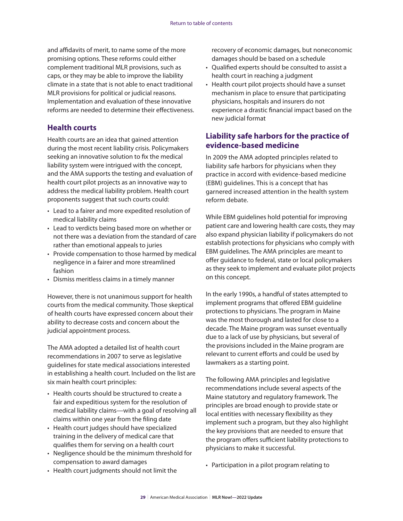<span id="page-30-0"></span>and affidavits of merit, to name some of the more promising options. These reforms could either complement traditional MLR provisions, such as caps, or they may be able to improve the liability climate in a state that is not able to enact traditional MLR provisions for political or judicial reasons. Implementation and evaluation of these innovative reforms are needed to determine their effectiveness.

#### **Health courts**

Health courts are an idea that gained attention during the most recent liability crisis. Policymakers seeking an innovative solution to fix the medical liability system were intrigued with the concept, and the AMA supports the testing and evaluation of health court pilot projects as an innovative way to address the medical liability problem. Health court proponents suggest that such courts could:

- Lead to a fairer and more expedited resolution of medical liability claims
- Lead to verdicts being based more on whether or not there was a deviation from the standard of care rather than emotional appeals to juries
- Provide compensation to those harmed by medical negligence in a fairer and more streamlined fashion
- Dismiss meritless claims in a timely manner

However, there is not unanimous support for health courts from the medical community. Those skeptical of health courts have expressed concern about their ability to decrease costs and concern about the judicial appointment process.

The AMA adopted a detailed list of health court recommendations in 2007 to serve as legislative guidelines for state medical associations interested in establishing a health court. Included on the list are six main health court principles:

- Health courts should be structured to create a fair and expeditious system for the resolution of medical liability claims—with a goal of resolving all claims within one year from the filing date
- Health court judges should have specialized training in the delivery of medical care that qualifies them for serving on a health court
- Negligence should be the minimum threshold for compensation to award damages
- Health court judgments should not limit the

recovery of economic damages, but noneconomic damages should be based on a schedule

- Qualified experts should be consulted to assist a health court in reaching a judgment
- Health court pilot projects should have a sunset mechanism in place to ensure that participating physicians, hospitals and insurers do not experience a drastic financial impact based on the new judicial format

#### **Liability safe harbors for the practice of evidence-based medicine**

In 2009 the AMA adopted principles related to liability safe harbors for physicians when they practice in accord with evidence-based medicine (EBM) guidelines. This is a concept that has garnered increased attention in the health system reform debate.

While EBM guidelines hold potential for improving patient care and lowering health care costs, they may also expand physician liability if policymakers do not establish protections for physicians who comply with EBM guidelines. The AMA principles are meant to offer guidance to federal, state or local policymakers as they seek to implement and evaluate pilot projects on this concept.

In the early 1990s, a handful of states attempted to implement programs that offered EBM guideline protections to physicians. The program in Maine was the most thorough and lasted for close to a decade. The Maine program was sunset eventually due to a lack of use by physicians, but several of the provisions included in the Maine program are relevant to current efforts and could be used by lawmakers as a starting point.

The following AMA principles and legislative recommendations include several aspects of the Maine statutory and regulatory framework. The principles are broad enough to provide state or local entities with necessary flexibility as they implement such a program, but they also highlight the key provisions that are needed to ensure that the program offers sufficient liability protections to physicians to make it successful.

• Participation in a pilot program relating to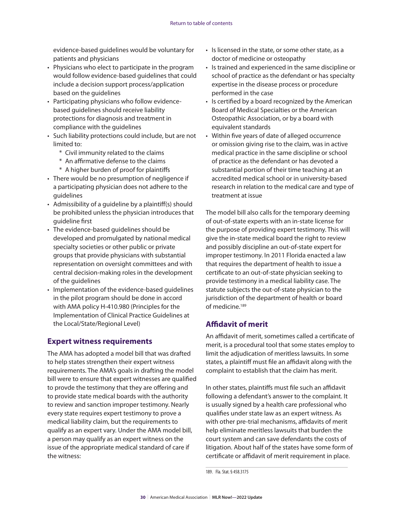evidence-based guidelines would be voluntary for patients and physicians

- Physicians who elect to participate in the program would follow evidence-based guidelines that could include a decision support process/application based on the guidelines
- Participating physicians who follow evidencebased guidelines should receive liability protections for diagnosis and treatment in compliance with the guidelines
- Such liability protections could include, but are not limited to:
	- \* Civil immunity related to the claims
	- \* An affirmative defense to the claims
	- \* A higher burden of proof for plaintiffs
- There would be no presumption of negligence if a participating physician does not adhere to the guidelines
- Admissibility of a guideline by a plaintiff(s) should be prohibited unless the physician introduces that guideline first
- The evidence-based guidelines should be developed and promulgated by national medical specialty societies or other public or private groups that provide physicians with substantial representation on oversight committees and with central decision-making roles in the development of the guidelines
- Implementation of the evidence-based guidelines in the pilot program should be done in accord with AMA policy H-410.980 (Principles for the Implementation of Clinical Practice Guidelines at the Local/State/Regional Level)

# **Expert witness requirements**

The AMA has adopted a model bill that was drafted to help states strengthen their expert witness requirements. The AMA's goals in drafting the model bill were to ensure that expert witnesses are qualified to provde the testimony that they are offering and to provide state medical boards with the authority to review and sanction improper testimony. Nearly every state requires expert testimony to prove a medical liability claim, but the requirements to qualify as an expert vary. Under the AMA model bill, a person may qualify as an expert witness on the issue of the appropriate medical standard of care if the witness:

- Is licensed in the state, or some other state, as a doctor of medicine or osteopathy
- Is trained and experienced in the same discipline or school of practice as the defendant or has specialty expertise in the disease process or procedure performed in the case
- Is certified by a board recognized by the American Board of Medical Specialties or the American Osteopathic Association, or by a board with equivalent standards
- Within five years of date of alleged occurrence or omission giving rise to the claim, was in active medical practice in the same discipline or school of practice as the defendant or has devoted a substantial portion of their time teaching at an accredited medical school or in university-based research in relation to the medical care and type of treatment at issue

The model bill also calls for the temporary deeming of out-of-state experts with an in-state license for the purpose of providing expert testimony. This will give the in-state medical board the right to review and possibly discipline an out-of-state expert for improper testimony. In 2011 Florida enacted a law that requires the department of health to issue a certificate to an out-of-state physician seeking to provide testimony in a medical liability case. The statute subjects the out-of-state physician to the jurisdiction of the department of health or board of medicine.<sup>189</sup>

# **Affidavit of merit**

An affidavit of merit, sometimes called a certificate of merit, is a procedural tool that some states employ to limit the adjudication of meritless lawsuits. In some states, a plaintiff must file an affidavit along with the complaint to establish that the claim has merit.

In other states, plaintiffs must file such an affidavit following a defendant's answer to the complaint. It is usually signed by a health care professional who qualifies under state law as an expert witness. As with other pre-trial mechanisms, affidavits of merit help eliminate meritless lawsuits that burden the court system and can save defendants the costs of litigation. About half of the states have some form of certificate or affidavit of merit requirement in place.

189. Fla. Stat. § 458.3175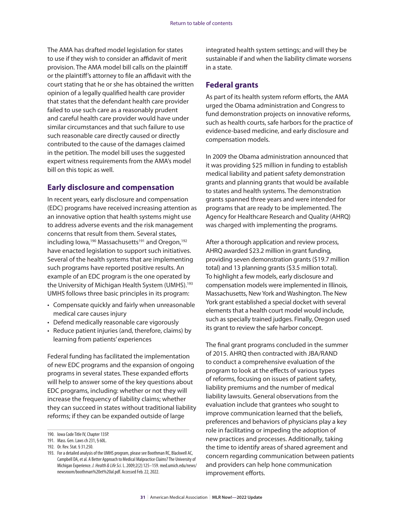The AMA has drafted model legislation for states to use if they wish to consider an affidavit of merit provision. The AMA model bill calls on the plaintiff or the plaintiff's attorney to file an affidavit with the court stating that he or she has obtained the written opinion of a legally qualified health care provider that states that the defendant health care provider failed to use such care as a reasonably prudent and careful health care provider would have under similar circumstances and that such failure to use such reasonable care directly caused or directly contributed to the cause of the damages claimed in the petition. The model bill uses the suggested expert witness requirements from the AMA's model bill on this topic as well.

#### **Early disclosure and compensation**

In recent years, early disclosure and compensation (EDC) programs have received increasing attention as an innovative option that health systems might use to address adverse events and the risk management concerns that result from them. Several states, including Iowa,<sup>190</sup> Massachusetts<sup>191</sup> and Oregon,<sup>192</sup> have enacted legislation to support such initiatives. Several of the health systems that are implementing such programs have reported positive results. An example of an EDC program is the one operated by the University of Michigan Health System (UMHS).<sup>193</sup> UMHS follows three basic principles in its program:

- Compensate quickly and fairly when unreasonable medical care causes injury
- Defend medically reasonable care vigorously
- Reduce patient injuries (and, therefore, claims) by learning from patients' experiences

Federal funding has facilitated the implementation of new EDC programs and the expansion of ongoing programs in several states. These expanded efforts will help to answer some of the key questions about EDC programs, including: whether or not they will increase the frequency of liability claims; whether they can succeed in states without traditional liability reforms; if they can be expanded outside of large

integrated health system settings; and will they be sustainable if and when the liability climate worsens in a state.

#### **Federal grants**

As part of its health system reform efforts, the AMA urged the Obama administration and Congress to fund demonstration projects on innovative reforms, such as health courts, safe harbors for the practice of evidence-based medicine, and early disclosure and compensation models.

In 2009 the Obama administration announced that it was providing \$25 million in funding to establish medical liability and patient safety demonstration grants and planning grants that would be available to states and health systems. The demonstration grants spanned three years and were intended for programs that are ready to be implemented. The Agency for Healthcare Research and Quality (AHRQ) was charged with implementing the programs.

After a thorough application and review process, AHRQ awarded \$23.2 million in grant funding, providing seven demonstration grants (\$19.7 million total) and 13 planning grants (\$3.5 million total). To highlight a few models, early disclosure and compensation models were implemented in Illinois, Massachusetts, New York and Washington. The New York grant established a special docket with several elements that a health court model would include, such as specially trained judges. Finally, Oregon used its grant to review the safe harbor concept.

The final grant programs concluded in the summer of 2015. AHRQ then contracted with JBA/RAND to conduct a comprehensive evaluation of the program to look at the effects of various types of reforms, focusing on issues of patient safety, liability premiums and the number of medical liability lawsuits. General observations from the evaluation include that grantees who sought to improve communication learned that the beliefs, preferences and behaviors of physicians play a key role in facilitating or impeding the adoption of new practices and processes. Additionally, taking the time to identify areas of shared agreement and concern regarding communication between patients and providers can help hone communication improvement efforts.

<sup>190.</sup> Iowa Code Title IV, Chapter 135P.

<sup>191.</sup> Mass. Gen. Laws ch 231, § 60L.

<sup>192.</sup> Or. Rev. Stat. § 31.250.

<sup>193.</sup> For a detailed analysis of the UMHS program, please see Boothman RC, Blackwell AC, Campbell DA, et al. A Better Approach to Medical Malpractice Claims? The University of Michigan Experience. *J. Health & Life Sci*. L. 2009;2(2):125–159. med.umich.edu/news/ newsroom/boothman%20et%20al.pdf. Accessed Feb. 22, 2022.